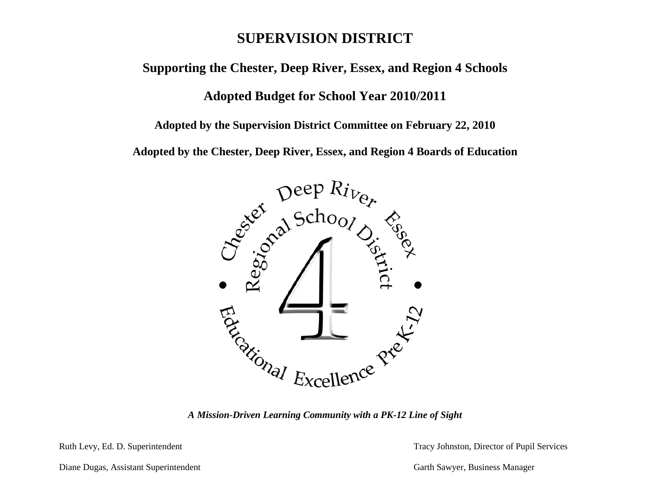# **SUPERVISION DISTRICT**

**Supporting the Chester, Deep River, Essex, and Region 4 Schools**

# **Adopted Budget for School Year 2010/2011**

**Adopted by the Supervision District Committee on February 22, 2010**

**Adopted by the Chester, Deep River, Essex, and Region 4 Boards of Education**



Ruth Levy, Ed. D. Superintendent Tracy Johnston, Director of Pupil Services

Diane Dugas, Assistant Superintendent Garth Sawyer, Business Manager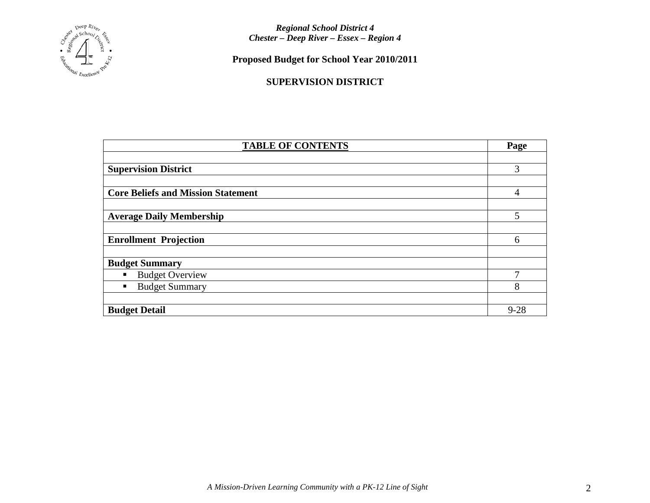

**Proposed Budget for School Year 2010/2011**

# **SUPERVISION DISTRICT**

| <b>TABLE OF CONTENTS</b>                  |          |  |  |  |  |  |
|-------------------------------------------|----------|--|--|--|--|--|
|                                           |          |  |  |  |  |  |
| <b>Supervision District</b>               | 3        |  |  |  |  |  |
|                                           |          |  |  |  |  |  |
| <b>Core Beliefs and Mission Statement</b> | 4        |  |  |  |  |  |
|                                           |          |  |  |  |  |  |
| <b>Average Daily Membership</b>           |          |  |  |  |  |  |
|                                           |          |  |  |  |  |  |
| <b>Enrollment Projection</b>              | 6        |  |  |  |  |  |
|                                           |          |  |  |  |  |  |
| <b>Budget Summary</b>                     |          |  |  |  |  |  |
| <b>Budget Overview</b><br>$\blacksquare$  |          |  |  |  |  |  |
| <b>Budget Summary</b><br>п                | 8        |  |  |  |  |  |
|                                           |          |  |  |  |  |  |
| <b>Budget Detail</b>                      | $9 - 28$ |  |  |  |  |  |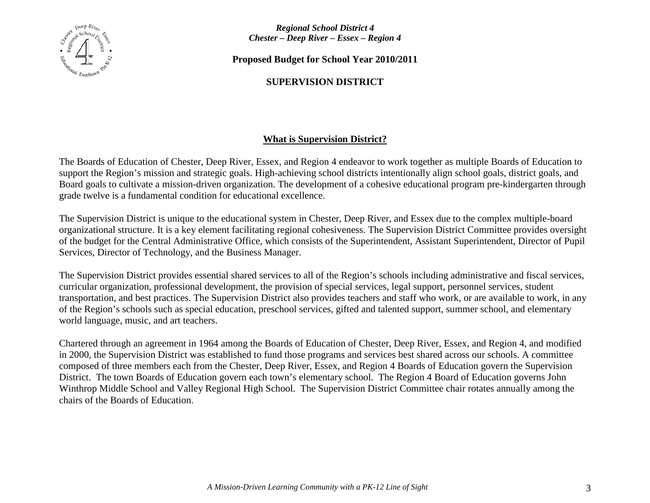

**Proposed Budget for School Year 2010/2011**

# **SUPERVISION DISTRICT**

# **What is Supervision District?**

The Boards of Education of Chester, Deep River, Essex, and Region 4 endeavor to work together as multiple Boards of Education to support the Region's mission and strategic goals. High-achieving school districts intentionally align school goals, district goals, and Board goals to cultivate a mission-driven organization. The development of a cohesive educational program pre-kindergarten through grade twelve is a fundamental condition for educational excellence.

The Supervision District is unique to the educational system in Chester, Deep River, and Essex due to the complex multiple-board organizational structure. It is a key element facilitating regional cohesiveness. The Supervision District Committee provides oversight of the budget for the Central Administrative Office, which consists of the Superintendent, Assistant Superintendent, Director of Pupil Services, Director of Technology, and the Business Manager.

The Supervision District provides essential shared services to all of the Region's schools including administrative and fiscal services, curricular organization, professional development, the provision of special services, legal support, personnel services, student transportation, and best practices. The Supervision District also provides teachers and staff who work, or are available to work, in any of the Region's schools such as special education, preschool services, gifted and talented support, summer school, and elementary world language, music, and art teachers.

Chartered through an agreement in 1964 among the Boards of Education of Chester, Deep River, Essex, and Region 4, and modified in 2000, the Supervision District was established to fund those programs and services best shared across our schools. A committee composed of three members each from the Chester, Deep River, Essex, and Region 4 Boards of Education govern the Supervision District. The town Boards of Education govern each town's elementary school. The Region 4 Board of Education governs John Winthrop Middle School and Valley Regional High School. The Supervision District Committee chair rotates annually among the chairs of the Boards of Education.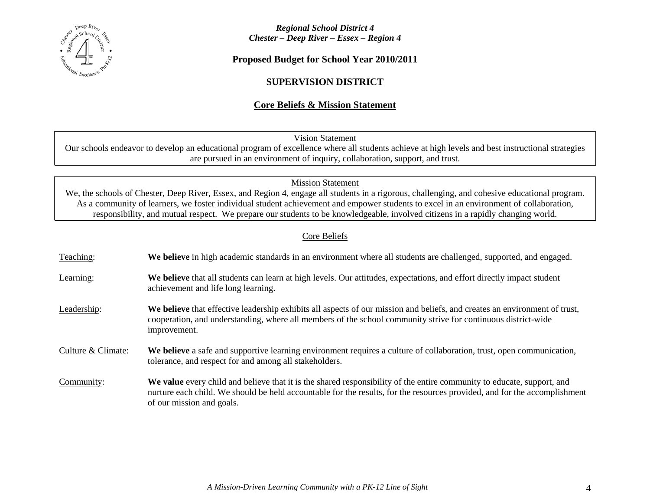

**Proposed Budget for School Year 2010/2011**

# **SUPERVISION DISTRICT**

# **Core Beliefs & Mission Statement**

Vision Statement

Our schools endeavor to develop an educational program of excellence where all students achieve at high levels and best instructional strategies are pursued in an environment of inquiry, collaboration, support, and trust.

Mission Statement

We, the schools of Chester, Deep River, Essex, and Region 4, engage all students in a rigorous, challenging, and cohesive educational program. As a community of learners, we foster individual student achievement and empower students to excel in an environment of collaboration, responsibility, and mutual respect. We prepare our students to be knowledgeable, involved citizens in a rapidly changing world.

# Core Beliefs

| Teaching:          | We believe in high academic standards in an environment where all students are challenged, supported, and engaged.                                                                                                                                                               |
|--------------------|----------------------------------------------------------------------------------------------------------------------------------------------------------------------------------------------------------------------------------------------------------------------------------|
| Learning:          | We believe that all students can learn at high levels. Our attitudes, expectations, and effort directly impact student<br>achievement and life long learning.                                                                                                                    |
| Leadership:        | We believe that effective leadership exhibits all aspects of our mission and beliefs, and creates an environment of trust,<br>cooperation, and understanding, where all members of the school community strive for continuous district-wide<br>improvement.                      |
| Culture & Climate: | We believe a safe and supportive learning environment requires a culture of collaboration, trust, open communication,<br>tolerance, and respect for and among all stakeholders.                                                                                                  |
| Community:         | We value every child and believe that it is the shared responsibility of the entire community to educate, support, and<br>nurture each child. We should be held accountable for the results, for the resources provided, and for the accomplishment<br>of our mission and goals. |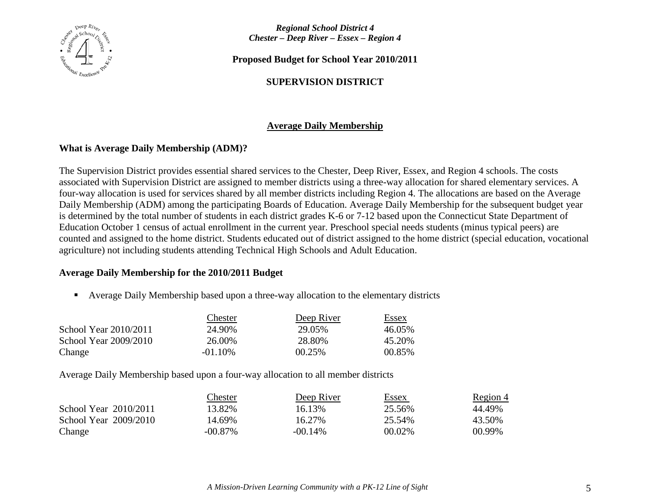

**Proposed Budget for School Year 2010/2011**

# **SUPERVISION DISTRICT**

# **Average Daily Membership**

# **What is Average Daily Membership (ADM)?**

The Supervision District provides essential shared services to the Chester, Deep River, Essex, and Region 4 schools. The costs associated with Supervision District are assigned to member districts using a three-way allocation for shared elementary services. A four-way allocation is used for services shared by all member districts including Region 4. The allocations are based on the Average Daily Membership (ADM) among the participating Boards of Education. Average Daily Membership for the subsequent budget year is determined by the total number of students in each district grades K-6 or 7-12 based upon the Connecticut State Department of Education October 1 census of actual enrollment in the current year. Preschool special needs students (minus typical peers) are counted and assigned to the home district. Students educated out of district assigned to the home district (special education, vocational agriculture) not including students attending Technical High Schools and Adult Education.

# **Average Daily Membership for the 2010/2011 Budget**

Average Daily Membership based upon a three-way allocation to the elementary districts

|                       | Chester    | Deep River | Essex   |
|-----------------------|------------|------------|---------|
| School Year 2010/2011 | 24.90%     | 29.05%     | 46.05%  |
| School Year 2009/2010 | 26.00%     | 28.80%     | 45.20\% |
| Change                | $-01.10\%$ | 00.25%     | 00.85%  |

Average Daily Membership based upon a four-way allocation to all member districts

|                         | Chester    | Deep River | <u>Essex</u> | <u>Region 4</u> |
|-------------------------|------------|------------|--------------|-----------------|
| School Year $2010/2011$ | 13.82%     | 16.13%     | 25.56%       | 44.49%          |
| School Year 2009/2010   | 14.69%     | 16.27%     | 25.54%       | 43.50%          |
| Change                  | $-00.87\%$ | $-00.14\%$ | 00.02%       | 00.99%          |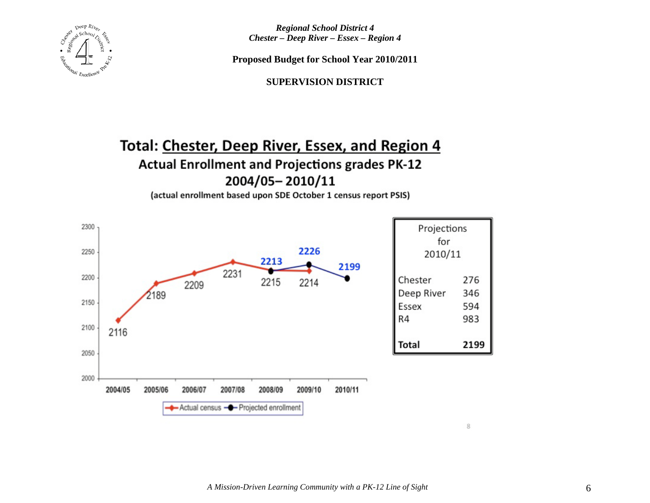

**Proposed Budget for School Year 2010/2011**

**SUPERVISION DISTRICT**

# Total: Chester, Deep River, Essex, and Region 4 **Actual Enrollment and Projections grades PK-12** 2004/05-2010/11

(actual enrollment based upon SDE October 1 census report PSIS)

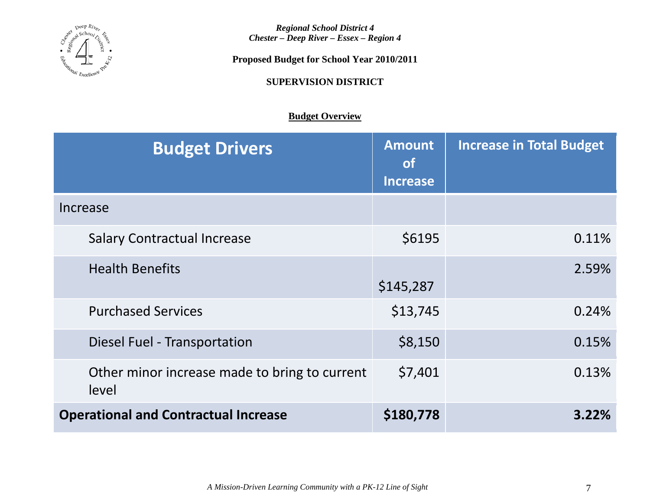

**Proposed Budget for School Year 2010/2011**

**SUPERVISION DISTRICT**

# **Budget Overview**

| <b>Budget Drivers</b>                                  | <b>Amount</b><br><b>of</b><br><b>Increase</b> | <b>Increase in Total Budget</b> |
|--------------------------------------------------------|-----------------------------------------------|---------------------------------|
| Increase                                               |                                               |                                 |
| <b>Salary Contractual Increase</b>                     | \$6195                                        | 0.11%                           |
| <b>Health Benefits</b>                                 | \$145,287                                     | 2.59%                           |
| <b>Purchased Services</b>                              | \$13,745                                      | 0.24%                           |
| Diesel Fuel - Transportation                           | \$8,150                                       | 0.15%                           |
| Other minor increase made to bring to current<br>level | \$7,401                                       | 0.13%                           |
| <b>Operational and Contractual Increase</b>            | \$180,778                                     | $3.22\%$                        |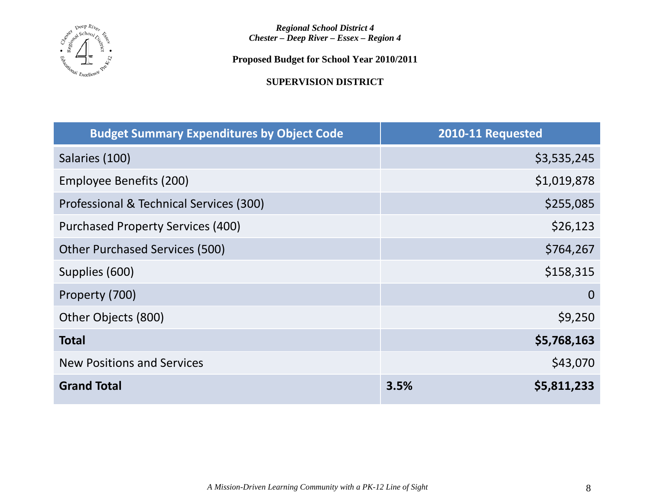

**Proposed Budget for School Year 2010/2011**

**SUPERVISION DISTRICT**

| <b>Budget Summary Expenditures by Object Code</b> | 2010-11 Requested   |
|---------------------------------------------------|---------------------|
| Salaries (100)                                    | \$3,535,245         |
| Employee Benefits (200)                           | \$1,019,878         |
| Professional & Technical Services (300)           | \$255,085           |
| <b>Purchased Property Services (400)</b>          | \$26,123            |
| <b>Other Purchased Services (500)</b>             | \$764,267           |
| Supplies (600)                                    | \$158,315           |
| Property (700)                                    | $\overline{0}$      |
| Other Objects (800)                               | \$9,250             |
| <b>Total</b>                                      | \$5,768,163         |
| <b>New Positions and Services</b>                 | \$43,070            |
| <b>Grand Total</b>                                | 3.5%<br>\$5,811,233 |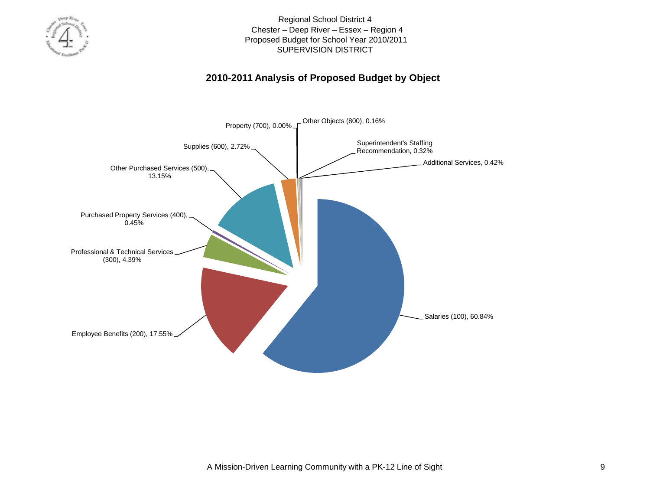

# **2010-2011 Analysis of Proposed Budget by Object**

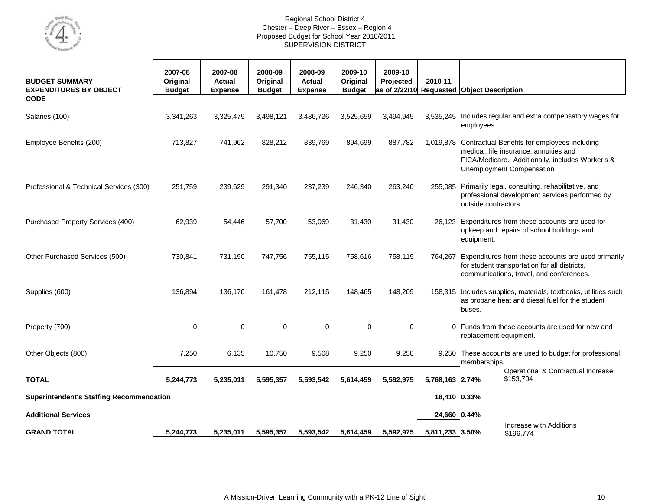

| <b>BUDGET SUMMARY</b><br><b>EXPENDITURES BY OBJECT</b> | 2007-08<br>Original<br><b>Budget</b> | 2007-08<br><b>Actual</b><br><b>Expense</b> | 2008-09<br>Original<br><b>Budget</b> | 2008-09<br>Actual<br><b>Expense</b> | 2009-10<br>Original<br><b>Budget</b> | 2009-10<br>Projected | 2010-11         | as of 2/22/10 Requested Object Description                                                                                                                              |
|--------------------------------------------------------|--------------------------------------|--------------------------------------------|--------------------------------------|-------------------------------------|--------------------------------------|----------------------|-----------------|-------------------------------------------------------------------------------------------------------------------------------------------------------------------------|
| <b>CODE</b>                                            |                                      |                                            |                                      |                                     |                                      |                      |                 |                                                                                                                                                                         |
| Salaries (100)                                         | 3,341,263                            | 3,325,479                                  | 3,498,121                            | 3,486,726                           | 3,525,659                            | 3,494,945            |                 | 3,535,245 Includes regular and extra compensatory wages for<br>employees                                                                                                |
| Employee Benefits (200)                                | 713,827                              | 741,962                                    | 828,212                              | 839,769                             | 894,699                              | 887,782              | 1.019.878       | Contractual Benefits for employees including<br>medical, life insurance, annuities and<br>FICA/Medicare. Additionally, includes Worker's &<br>Unemployment Compensation |
| Professional & Technical Services (300)                | 251,759                              | 239,629                                    | 291,340                              | 237,239                             | 246,340                              | 263,240              |                 | 255,085 Primarily legal, consulting, rehabilitative, and<br>professional development services performed by<br>outside contractors.                                      |
| Purchased Property Services (400)                      | 62,939                               | 54,446                                     | 57,700                               | 53,069                              | 31,430                               | 31,430               | 26,123          | Expenditures from these accounts are used for<br>upkeep and repairs of school buildings and<br>equipment.                                                               |
| Other Purchased Services (500)                         | 730,841                              | 731,190                                    | 747,756                              | 755,115                             | 758,616                              | 758,119              | 764,267         | Expenditures from these accounts are used primarily<br>for student transportation for all districts,<br>communications, travel, and conferences.                        |
| Supplies (600)                                         | 136,894                              | 136,170                                    | 161,478                              | 212,115                             | 148,465                              | 148,209              |                 | 158,315 Includes supplies, materials, textbooks, utilities such<br>as propane heat and diesal fuel for the student<br>buses.                                            |
| Property (700)                                         | $\mathbf 0$                          | $\mathbf 0$                                | $\mathbf 0$                          | $\mathbf 0$                         | 0                                    | $\mathbf 0$          |                 | 0 Funds from these accounts are used for new and<br>replacement equipment.                                                                                              |
| Other Objects (800)                                    | 7,250                                | 6,135                                      | 10,750                               | 9,508                               | 9,250                                | 9,250                | 9.250           | These accounts are used to budget for professional<br>memberships.                                                                                                      |
| <b>TOTAL</b>                                           | 5,244,773                            | 5,235,011                                  | 5,595,357                            | 5,593,542                           | 5,614,459                            | 5,592,975            | 5,768,163 2.74% | Operational & Contractual Increase<br>\$153,704                                                                                                                         |
| <b>Superintendent's Staffing Recommendation</b>        |                                      |                                            |                                      |                                     |                                      |                      | 18,410 0.33%    |                                                                                                                                                                         |
| <b>Additional Services</b>                             |                                      |                                            |                                      |                                     |                                      |                      | 24,660 0.44%    |                                                                                                                                                                         |
| <b>GRAND TOTAL</b>                                     | 5,244,773                            | 5,235,011                                  | 5,595,357                            | 5,593,542                           | 5,614,459                            | 5,592,975            | 5,811,233 3.50% | Increase with Additions<br>\$196,774                                                                                                                                    |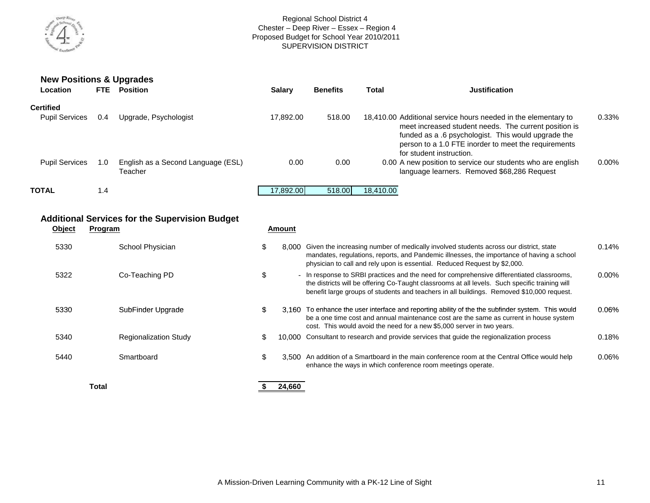

| <b>New Positions &amp; Upgrades</b><br>Location | FTE. | <b>Position</b>                               | <b>Salary</b> | <b>Benefits</b> | Total     | <b>Justification</b>                                                                                                                                                                             |          |
|-------------------------------------------------|------|-----------------------------------------------|---------------|-----------------|-----------|--------------------------------------------------------------------------------------------------------------------------------------------------------------------------------------------------|----------|
| <b>Certified</b><br><b>Pupil Services</b>       | 0.4  | Upgrade, Psychologist                         | 17.892.00     | 518.00          |           | 18,410.00 Additional service hours needed in the elementary to                                                                                                                                   | $0.33\%$ |
|                                                 |      |                                               |               |                 |           | meet increased student needs. The current position is<br>funded as a .6 psychologist. This would upgrade the<br>person to a 1.0 FTE inorder to meet the requirements<br>for student instruction. |          |
| <b>Pupil Services</b>                           | 1.0  | English as a Second Language (ESL)<br>Teacher | 0.00          | 0.00            |           | 0.00 A new position to service our students who are english<br>language learners. Removed \$68,286 Request                                                                                       | $0.00\%$ |
| <b>TOTAL</b>                                    | 1.4  |                                               | 17.892.00     | 518,00          | 18.410.00 |                                                                                                                                                                                                  |          |

## **Additional Services for the Supervision Budget**

| <b>Object</b> | Program                      | Amount     |                                                                                                                                                                                                                                                                                          |          |
|---------------|------------------------------|------------|------------------------------------------------------------------------------------------------------------------------------------------------------------------------------------------------------------------------------------------------------------------------------------------|----------|
| 5330          | School Physician             | 8.000<br>Φ | Given the increasing number of medically involved students across our district, state<br>mandates, regulations, reports, and Pandemic illnesses, the importance of having a school<br>physician to call and rely upon is essential. Reduced Request by \$2,000.                          | $0.14\%$ |
| 5322          | Co-Teaching PD               | \$         | - In response to SRBI practices and the need for comprehensive differentiated classrooms,<br>the districts will be offering Co-Taught classrooms at all levels. Such specific training will<br>benefit large groups of students and teachers in all buildings. Removed \$10,000 request. | $0.00\%$ |
| 5330          | SubFinder Upgrade            | S          | 3.160 To enhance the user interface and reporting ability of the the subfinder system. This would<br>be a one time cost and annual maintenance cost are the same as current in house system<br>cost. This would avoid the need for a new \$5,000 server in two years.                    | $0.06\%$ |
| 5340          | <b>Regionalization Study</b> | S          | 10,000 Consultant to research and provide services that guide the regionalization process                                                                                                                                                                                                | 0.18%    |
| 5440          | Smartboard                   | \$         | 3.500 An addition of a Smartboard in the main conference room at the Central Office would help<br>enhance the ways in which conference room meetings operate.                                                                                                                            | $0.06\%$ |

**Total 24,660 \$**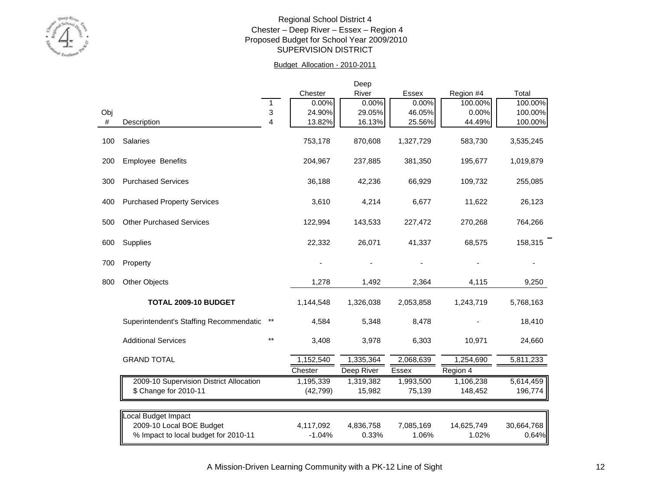

### Budget Allocation - 2010-2011

|     |                                         |       |           | Deep       |              |            |            |
|-----|-----------------------------------------|-------|-----------|------------|--------------|------------|------------|
|     |                                         |       | Chester   | River      | <b>Essex</b> | Region #4  | Total      |
|     |                                         | 1     | 0.00%     | 0.00%      | 0.00%        | 100.00%    | 100.00%    |
| Obj |                                         | 3     | 24.90%    | 29.05%     | 46.05%       | 0.00%      | 100.00%    |
| #   | Description                             | 4     | 13.82%    | 16.13%     | 25.56%       | 44.49%     | 100.00%    |
| 100 | <b>Salaries</b>                         |       | 753,178   | 870,608    | 1,327,729    | 583,730    | 3,535,245  |
| 200 | Employee Benefits                       |       | 204,967   | 237,885    | 381,350      | 195,677    | 1,019,879  |
| 300 | <b>Purchased Services</b>               |       | 36,188    | 42,236     | 66,929       | 109,732    | 255,085    |
| 400 | <b>Purchased Property Services</b>      |       | 3,610     | 4,214      | 6,677        | 11,622     | 26,123     |
| 500 | <b>Other Purchased Services</b>         |       | 122,994   | 143,533    | 227,472      | 270,268    | 764,266    |
| 600 | Supplies                                |       | 22,332    | 26,071     | 41,337       | 68,575     | 158,315    |
| 700 | Property                                |       |           |            |              |            |            |
| 800 | <b>Other Objects</b>                    |       | 1,278     | 1,492      | 2,364        | 4,115      | 9,250      |
|     | <b>TOTAL 2009-10 BUDGET</b>             |       | 1,144,548 | 1,326,038  | 2,053,858    | 1,243,719  | 5,768,163  |
|     | Superintendent's Staffing Recommendatio | $***$ | 4,584     | 5,348      | 8,478        |            | 18,410     |
|     | <b>Additional Services</b>              | $***$ | 3,408     | 3,978      | 6,303        | 10,971     | 24,660     |
|     | <b>GRAND TOTAL</b>                      |       | 1,152,540 | 1,335,364  | 2,068,639    | 1,254,690  | 5,811,233  |
|     |                                         |       | Chester   | Deep River | <b>Essex</b> | Region 4   |            |
|     | 2009-10 Supervision District Allocation |       | 1,195,339 | 1,319,382  | 1,993,500    | 1,106,238  | 5,614,459  |
|     | \$ Change for 2010-11                   |       | (42, 799) | 15,982     | 75,139       | 148,452    | 196,774    |
|     | Local Budget Impact                     |       |           |            |              |            |            |
|     | 2009-10 Local BOE Budget                |       | 4,117,092 | 4,836,758  | 7,085,169    | 14,625,749 | 30,664,768 |
|     | % Impact to local budget for 2010-11    |       | $-1.04%$  | 0.33%      | 1.06%        | 1.02%      | 0.64%      |
|     |                                         |       |           |            |              |            |            |

A Mission-Driven Learning Community with a PK-12 Line of Sight 12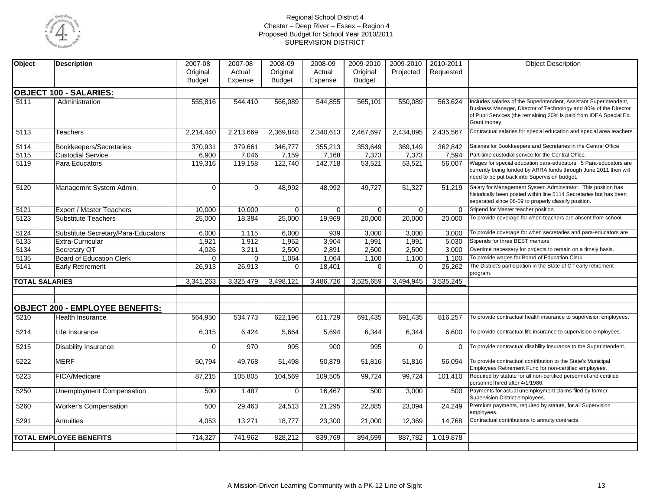

| Object            | <b>Description</b>                     | 2007-08       | 2007-08     | 2008-09       | $2008 - 09$ | 2009-2010     | 2009-2010    | 2010-2011 | <b>Object Description</b>                                                                                                                                                                                                    |
|-------------------|----------------------------------------|---------------|-------------|---------------|-------------|---------------|--------------|-----------|------------------------------------------------------------------------------------------------------------------------------------------------------------------------------------------------------------------------------|
|                   |                                        | Original      | Actual      | Original      | Actual      | Original      | Projected    | Requested |                                                                                                                                                                                                                              |
|                   |                                        | <b>Budget</b> | Expense     | <b>Budget</b> | Expense     | <b>Budget</b> |              |           |                                                                                                                                                                                                                              |
|                   |                                        |               |             |               |             |               |              |           |                                                                                                                                                                                                                              |
|                   | <b>OBJECT 100 - SALARIES:</b>          |               |             |               |             |               |              |           |                                                                                                                                                                                                                              |
| 5111              | Administration                         | 555,816       | 544,410     | 566,089       | 544,855     | 565,101       | 550,089      | 563,624   | Includes salaries of the Superintendent, Assistant Superintendent,<br>Business Manager, Director of Technology and 80% of the Director<br>of Pupil Services (the remaining 20% is paid from IDEA Special Ed.<br>Grant money. |
| 5113              | Teachers                               | 2,214,440     | 2,213,669   | 2,369,848     | 2,340,613   | 2,467,697     | 2,434,895    | 2,435,567 | Contractual salaries for special education and special area teachers.                                                                                                                                                        |
| 5114              | Bookkeepers/Secretaries                | 370,931       | 379,661     | 346,777       | 355,213     | 353,649       | 369,149      | 362,842   | Salaries for Bookkeepers and Secretaries in the Central Office                                                                                                                                                               |
| 5115              | <b>Custodial Service</b>               | 6,900         | 7,046       | 7,159         | 7,168       | 7,373         | 7,373        | 7,594     | Part-time custodial service for the Central Office.                                                                                                                                                                          |
| 5119              | Para Educators                         | 119,316       | 119,158     | 122,740       | 142,718     | 53,521        | 53,521       | 56,007    | Wages for special education para-educators. 5 Para-educators are<br>currently being funded by ARRA funds through June 2011 then will<br>need to be put back into Supervision budget.                                         |
| 5120              | Managemnt System Admin.                | $\mathbf 0$   | $\mathbf 0$ | 48,992        | 48,992      | 49,727        | 51,327       | 51.219    | Salary for Management System Adminstrator. This position has<br>historically been posted within line 5114 Secretaries but has been<br>separated since 08-09 to properly classify position.                                   |
| 5121              | Expert / Master Teachers               | 10,000        | 10,000      | 0             | 0           | 0             | $\mathbf{0}$ | $\Omega$  | Stipend for Master teacher position.                                                                                                                                                                                         |
| 5123              | <b>Substitute Teachers</b>             | 25,000        | 18,384      | 25,000        | 19,969      | 20,000        | 20,000       | 20,000    | To provide coverage for when teachers are absent from school.                                                                                                                                                                |
| 5124              | Substitute Secretary/Para-Educators    | 6,000         | 1,115       | 6,000         | 939         | 3,000         | 3,000        | 3,000     | To provide coverage for when secretaries and para-educators are                                                                                                                                                              |
| 5133              | Extra-Curricular                       | 1,921         | 1,912       | 1,952         | 3,904       | 1,991         | 1,991        | 5.030     | Stipends for three BEST mentors.                                                                                                                                                                                             |
| 5134              | Secretary OT                           | 4,026         | 3,211       | 2,500         | 2,891       | 2,500         | 2,500        | 3,000     | Overtime necessary for projects to remain on a timely basis.                                                                                                                                                                 |
| 5135              | <b>Board of Education Clerk</b>        | $\mathbf 0$   | $\mathbf 0$ | 1,064         | 1,064       | 1,100         | 1,100        | 1,100     | To provide wages for Board of Education Clerk.                                                                                                                                                                               |
| 5141              | <b>Early Retirement</b>                | 26,913        | 26,913      | $\Omega$      | 18,401      | $\Omega$      | $\Omega$     | 26,262    | The District's participation in the State of CT early retirement<br>program.                                                                                                                                                 |
|                   | <b>TOTAL SALARIES</b>                  | 3,341,263     | 3,325,479   | 3,498,121     | 3,486,726   | 3,525,659     | 3,494,945    | 3,535,245 |                                                                                                                                                                                                                              |
|                   |                                        |               |             |               |             |               |              |           |                                                                                                                                                                                                                              |
|                   |                                        |               |             |               |             |               |              |           |                                                                                                                                                                                                                              |
|                   | <b>OBJECT 200 - EMPLOYEE BENEFITS:</b> |               |             |               |             |               |              |           |                                                                                                                                                                                                                              |
| 5210              | <b>Health Insurance</b>                | 564,950       | 534,773     | 622,196       | 611,729     | 691,435       | 691,435      | 816,257   | To provide contractual health insurance to supervision employees.                                                                                                                                                            |
| $\overline{5214}$ | Life Insurance                         | 6,315         | 6,424       | 5,664         | 5,694       | 6,344         | 6,344        | 6.600     | To provide contractual life insurance to supervision employees.                                                                                                                                                              |
| 5215              | <b>Disability Insurance</b>            | $\mathbf 0$   | 970         | 995           | 900         | 995           | $\Omega$     | $\Omega$  | To provide contractual disability insurance to the Superintendent.                                                                                                                                                           |
| 5222              | <b>MERF</b>                            | 50,794        | 49,768      | 51,498        | 50,879      | 51,816        | 51,816       | 56,094    | To provide contractual contribution to the State's Municipal<br>Employees Retirement Fund for non-certified employees.                                                                                                       |
| 5223              | FICA/Medicare                          | 87,215        | 105,805     | 104,569       | 109,505     | 99,724        | 99,724       | 101,410   | Required by statute for all non-certified personnel and certified<br>personnel hired after 4/1/1986.                                                                                                                         |
| 5250              | <b>Unemployment Compensation</b>       | 500           | 1,487       | $\mathbf 0$   | 16,467      | 500           | 3,000        | 500       | Payments for actual unemployment claims filed by former<br>Supervision District employees.                                                                                                                                   |
| 5260              | <b>Worker's Compensation</b>           | 500           | 29,463      | 24,513        | 21,295      | 22,885        | 23,094       | 24.249    | Premium payments, required by statute, for all Supervision<br>employees.                                                                                                                                                     |
| 5291              | Annuities                              | 4.053         | 13,271      | 18,777        | 23,300      | 21,000        | 12,369       | 14.768    | Contractual contributions to annuity contracts.                                                                                                                                                                              |
|                   |                                        |               |             |               |             |               |              |           |                                                                                                                                                                                                                              |
|                   | <b>TOTAL EMPLOYEE BENEFITS</b>         | 714,327       | 741,962     | 828,212       | 839,769     | 894,699       | 887,782      | 1,019,878 |                                                                                                                                                                                                                              |
|                   |                                        |               |             |               |             |               |              |           |                                                                                                                                                                                                                              |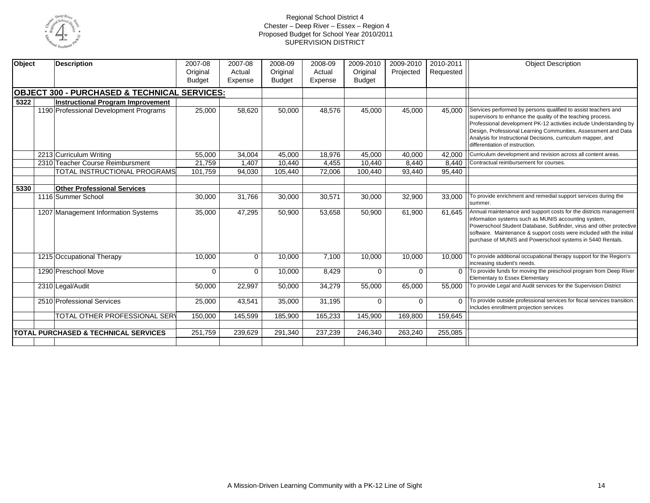

| Object | <b>Description</b>                                      | 2007-08<br>Original<br><b>Budget</b> | 2007-08<br>Actual<br>Expense | 2008-09<br>Original<br><b>Budget</b> | 2008-09<br>Actual<br>Expense | 2009-2010<br>Original<br><b>Budget</b> | 2009-2010<br>Projected | 2010-2011<br>Requested | Object Description                                                                                                                                                                                                                                                                                                                                                       |
|--------|---------------------------------------------------------|--------------------------------------|------------------------------|--------------------------------------|------------------------------|----------------------------------------|------------------------|------------------------|--------------------------------------------------------------------------------------------------------------------------------------------------------------------------------------------------------------------------------------------------------------------------------------------------------------------------------------------------------------------------|
|        | <b>OBJECT 300 - PURCHASED &amp; TECHNICAL SERVICES:</b> |                                      |                              |                                      |                              |                                        |                        |                        |                                                                                                                                                                                                                                                                                                                                                                          |
| 5322   | <b>Instructional Program Improvement</b>                |                                      |                              |                                      |                              |                                        |                        |                        |                                                                                                                                                                                                                                                                                                                                                                          |
|        | 1190 Professional Development Programs                  | 25,000                               | 58,620                       | 50,000                               | 48,576                       | 45,000                                 | 45,000                 | 45,000                 | Services performed by persons qualified to assist teachers and<br>supervisors to enhance the quality of the teaching process.<br>Professional development PK-12 activities include Understanding by<br>Design, Professional Learning Communities, Assessment and Data<br>Analysis for Instructional Decisions, curriculum mapper, and<br>differentiation of instruction. |
|        | 2213 Curriculum Writing                                 | 55,000                               | 34,004                       | 45,000                               | 18,976                       | 45,000                                 | 40,000                 | 42,000                 | Curriculum development and revision across all content areas.                                                                                                                                                                                                                                                                                                            |
|        | 2310 Teacher Course Reimbursment                        | 21,759                               | 1.407                        | 10,440                               | 4,455                        | 10.440                                 | 8,440                  | 8.440                  | Contractual reimbursement for courses.                                                                                                                                                                                                                                                                                                                                   |
|        | <b>TOTAL INSTRUCTIONAL PROGRAMS</b>                     | 101.759                              | 94.030                       | 105,440                              | 72.006                       | 100.440                                | 93,440                 | 95,440                 |                                                                                                                                                                                                                                                                                                                                                                          |
|        |                                                         |                                      |                              |                                      |                              |                                        |                        |                        |                                                                                                                                                                                                                                                                                                                                                                          |
| 5330   | <b>Other Professional Services</b>                      |                                      |                              |                                      |                              |                                        |                        |                        |                                                                                                                                                                                                                                                                                                                                                                          |
|        | 1116 Summer School                                      | 30,000                               | 31,766                       | 30,000                               | 30,571                       | 30,000                                 | 32,900                 | 33,000                 | To provide enrichment and remedial support services during the<br>summer.                                                                                                                                                                                                                                                                                                |
|        | 1207 Management Information Systems                     | 35,000                               | 47,295                       | 50,900                               | 53,658                       | 50,900                                 | 61,900                 | 61.645                 | Annual maintenance and support costs for the districts management<br>information systems such as MUNIS accounting system,<br>Powerschool Student Database, Subfinder, virus and other protective<br>software. Maintenance & support costs were included with the initial<br>purchase of MUNIS and Powerschool systems in 5440 Rentals.                                   |
|        | 1215 Occupational Therapy                               | 10,000                               | $\mathbf 0$                  | 10.000                               | 7.100                        | 10.000                                 | 10.000                 | 10.000                 | To provide additional occupational therapy support for the Region's<br>increasing student's needs.                                                                                                                                                                                                                                                                       |
|        | 1290 Preschool Move                                     | $\mathbf 0$                          | $\mathbf 0$                  | 10,000                               | 8,429                        | $\Omega$                               | $\Omega$               | $\Omega$               | To provide funds for moving the preschool program from Deep River<br><b>Elementary to Essex Elementary</b>                                                                                                                                                                                                                                                               |
|        | 2310 Legal/Audit                                        | 50,000                               | 22,997                       | 50,000                               | 34,279                       | 55,000                                 | 65,000                 | 55,000                 | To provide Legal and Audit services for the Supervision District                                                                                                                                                                                                                                                                                                         |
|        | 2510 Professional Services                              | 25,000                               | 43,541                       | 35,000                               | 31,195                       | $\Omega$                               | $\Omega$               | $\Omega$               | To provide outside professional services for fiscal services transition.<br>Includes enrollment projection services                                                                                                                                                                                                                                                      |
|        | TOTAL OTHER PROFESSIONAL SERV                           | 150,000                              | 145,599                      | 185,900                              | 165,233                      | 145,900                                | 169,800                | 159,645                |                                                                                                                                                                                                                                                                                                                                                                          |
|        |                                                         |                                      |                              |                                      |                              |                                        |                        |                        |                                                                                                                                                                                                                                                                                                                                                                          |
|        | <b>TOTAL PURCHASED &amp; TECHNICAL SERVICES</b>         | 251,759                              | 239,629                      | 291,340                              | 237,239                      | 246,340                                | 263,240                | 255,085                |                                                                                                                                                                                                                                                                                                                                                                          |
|        |                                                         |                                      |                              |                                      |                              |                                        |                        |                        |                                                                                                                                                                                                                                                                                                                                                                          |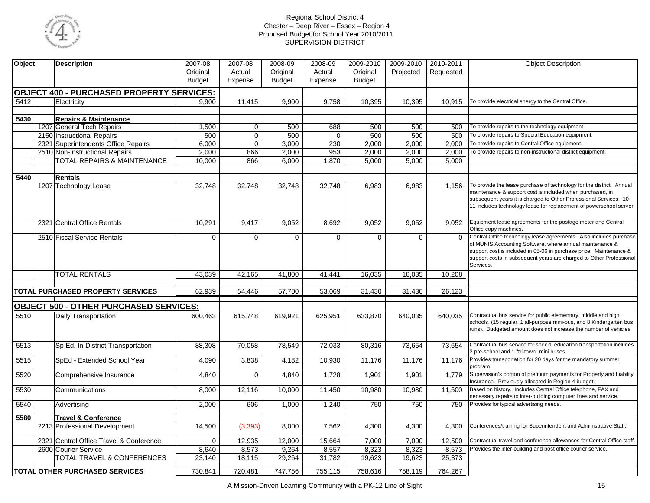

| Object | <b>Description</b>                               | 2007-08       | 2007-08        | 2008-09       | 2008-09     | 2009-2010     | 2009-2010 | 2010-2011 | <b>Object Description</b>                                                                                                                                                                                                                                                                |
|--------|--------------------------------------------------|---------------|----------------|---------------|-------------|---------------|-----------|-----------|------------------------------------------------------------------------------------------------------------------------------------------------------------------------------------------------------------------------------------------------------------------------------------------|
|        |                                                  | Original      | Actual         | Original      | Actual      | Original      | Projected | Requested |                                                                                                                                                                                                                                                                                          |
|        |                                                  | <b>Budget</b> | Expense        | <b>Budget</b> | Expense     | <b>Budget</b> |           |           |                                                                                                                                                                                                                                                                                          |
|        | <b>OBJECT 400 - PURCHASED PROPERTY SERVICES:</b> |               |                |               |             |               |           |           |                                                                                                                                                                                                                                                                                          |
| 5412   | Electricity                                      | 9.900         | 11,415         | 9,900         | 9.758       | 10,395        | 10.395    | 10.915    | To provide electrical energy to the Central Office.                                                                                                                                                                                                                                      |
|        |                                                  |               |                |               |             |               |           |           |                                                                                                                                                                                                                                                                                          |
| 5430   | <b>Repairs &amp; Maintenance</b>                 |               |                |               |             |               |           |           |                                                                                                                                                                                                                                                                                          |
|        | 1207 General Tech Repairs                        | 1,500         | $\mathbf 0$    | 500           | 688         | 500           | 500       | 500       | To provide repairs to the technology equipment.                                                                                                                                                                                                                                          |
|        | 2150 Instructional Repairs                       | 500           | $\mathbf 0$    | 500           | $\mathbf 0$ | 500           | 500       | 500       | To provide repairs to Special Education equipment.                                                                                                                                                                                                                                       |
|        | 2321 Superintendents Office Repairs              | 6,000         | $\overline{0}$ | 3,000         | 230         | 2,000         | 2,000     | 2,000     | To provide repairs to Central Office equipment.                                                                                                                                                                                                                                          |
|        | 2510 Non-Instructional Repairs                   | 2,000         | 866            | 2,000         | 953         | 2,000         | 2,000     | 2,000     | To provide repairs to non-instructional district equipment.                                                                                                                                                                                                                              |
|        | <b>TOTAL REPAIRS &amp; MAINTENANCE</b>           | 10,000        | 866            | 6,000         | 1,870       | 5,000         | 5,000     | 5,000     |                                                                                                                                                                                                                                                                                          |
|        |                                                  |               |                |               |             |               |           |           |                                                                                                                                                                                                                                                                                          |
| 5440   | Rentals                                          |               |                |               |             |               |           |           |                                                                                                                                                                                                                                                                                          |
|        | 1207 Technology Lease                            | 32,748        | 32,748         | 32,748        | 32,748      | 6,983         | 6,983     | 1,156     | To provide the lease purchase of technology for the district. Annual<br>maintenance & support cost is included when purchased, in<br>subsequent years it is charged to Other Professional Services. 10-<br>11 includes technology lease for replacement of powerschool server.           |
|        | 2321 Central Office Rentals                      | 10,291        | 9,417          | 9,052         | 8,692       | 9,052         | 9,052     | 9,052     | Equipment lease agreements for the postage meter and Central<br>Office copy machines.                                                                                                                                                                                                    |
|        | 2510 Fiscal Service Rentals                      | $\mathbf 0$   | $\mathbf 0$    | 0             | 0           | $\mathbf{0}$  | 0         | $\Omega$  | Central Office technology lease agreements. Also includes purchase<br>of MUNIS Accounting Software, where annual maintenance &<br>support cost is included in 05-06 in purchase price. Maintenance &<br>support costs in subsequent years are charged to Other Professional<br>Services. |
|        | <b>TOTAL RENTALS</b>                             | 43,039        | 42,165         | 41,800        | 41,441      | 16,035        | 16,035    | 10,208    |                                                                                                                                                                                                                                                                                          |
|        |                                                  |               |                |               |             |               |           |           |                                                                                                                                                                                                                                                                                          |
|        | TOTAL PURCHASED PROPERTY SERVICES                | 62,939        | 54,446         | 57,700        | 53,069      | 31,430        | 31,430    | 26,123    |                                                                                                                                                                                                                                                                                          |
|        | <b>OBJECT 500 - OTHER PURCHASED SERVICES:</b>    |               |                |               |             |               |           |           |                                                                                                                                                                                                                                                                                          |
| 5510   | Daily Transportation                             | 600,463       | 615,748        | 619,921       | 625,951     | 633,870       | 640,035   | 640,035   | Contractual bus service for public elementary, middle and high<br>schools. (15 regular, 1 all-purpose mini-bus, and 8 Kindergarten bus<br>runs). Budgeted amount does not increase the number of vehicles                                                                                |
| 5513   | Sp Ed. In-District Transportation                | 88,308        | 70,058         | 78,549        | 72,033      | 80,316        | 73,654    | 73,654    | Contractual bus service for special education transportation includes<br>2 pre-school and 1 "tri-town" mini buses.                                                                                                                                                                       |
| 5515   | SpEd - Extended School Year                      | 4,090         | 3,838          | 4,182         | 10,930      | 11,176        | 11,176    | 11.176    | Provides transportation for 20 days for the mandatory summer<br>program.                                                                                                                                                                                                                 |
| 5520   | Comprehensive Insurance                          | 4,840         | $\mathbf 0$    | 4,840         | 1,728       | 1,901         | 1,901     | 1.779     | Supervision's portion of premium payments for Property and Liability<br>Insurance. Previously allocated in Region 4 budget.                                                                                                                                                              |
| 5530   | Communications                                   | 8,000         | 12,116         | 10,000        | 11,450      | 10,980        | 10,980    | 11,500    | Based on history. Includes Central Office telephone, FAX and<br>necessary repairs to inter-building computer lines and service.                                                                                                                                                          |
| 5540   | Advertising                                      | 2,000         | 606            | 1,000         | 1,240       | 750           | 750       | 750       | Provides for typical advertising needs.                                                                                                                                                                                                                                                  |
| 5580   | <b>Travel &amp; Conference</b>                   |               |                |               |             |               |           |           |                                                                                                                                                                                                                                                                                          |
|        | 2213 Professional Development                    | 14,500        | (3,393)        | 8,000         | 7,562       | 4,300         | 4,300     | 4,300     | Conferences/training for Superintendent and Administrative Staff.                                                                                                                                                                                                                        |
|        | 2321 Central Office Travel & Conference          | $\mathbf{0}$  | 12,935         | 12,000        | 15,664      | 7,000         | 7,000     | 12,500    | Contractual travel and conference allowances for Central Office staff.                                                                                                                                                                                                                   |
|        | 2600 Courier Service                             | 8,640         | 8,573          | 9,264         | 8,557       | 8,323         | 8,323     | 8,573     | Provides the inter-building and post office courier service.                                                                                                                                                                                                                             |
|        | TOTAL TRAVEL & CONFERENCES                       | 23,140        | 18,115         | 29,264        | 31,782      | 19,623        | 19,623    | 25,373    |                                                                                                                                                                                                                                                                                          |
|        | <b>TOTAL OTHER PURCHASED SERVICES</b>            | 730,841       | 720,481        | 747,756       | 755,115     | 758,616       | 758,119   | 764,267   |                                                                                                                                                                                                                                                                                          |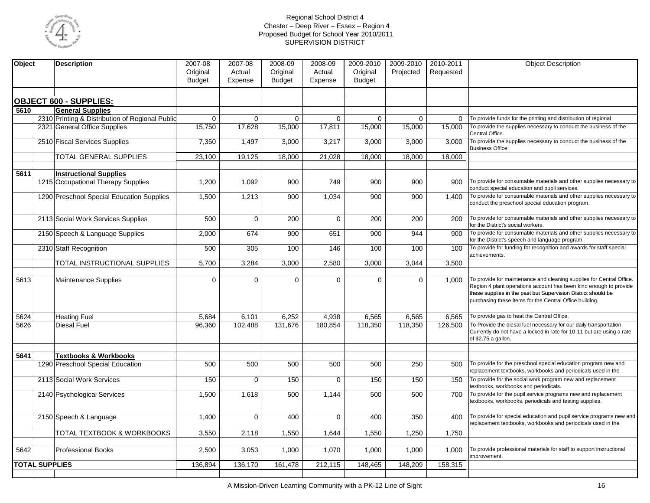

| Original<br>Actual<br>Original<br>Actual<br>Original<br>Projected<br>Requested<br><b>Budget</b><br><b>Budget</b><br>Expense<br><b>Budget</b><br>Expense<br><b>OBJECT 600 - SUPPLIES:</b><br><b>General Supplies</b><br>5610<br>2310 Printing & Distribution of Regional Public<br>0   To provide funds for the printing and distribution of regional<br>$\Omega$<br>0<br>$\mathbf 0$<br>$\Omega$<br>$\mathbf 0$<br>$\mathbf 0$<br>2321 General Office Supplies<br>15,750<br>To provide the supplies necessary to conduct the business of the<br>17,628<br>15,000<br>17,811<br>15,000<br>15,000<br>15,000<br>Central Office.<br>To provide the supplies necessary to conduct the business of the<br>2510 Fiscal Services Supplies<br>7,350<br>1,497<br>3,000<br>3,217<br>3,000<br>3.000<br>3,000<br>Business Office.<br><b>TOTAL GENERAL SUPPLIES</b><br>23,100<br>19,125<br>18,000<br>21,028<br>18,000<br>18,000<br>18,000<br>5611<br><b>Instructional Supplies</b><br>1215 Occupational Therapy Supplies<br>749<br>900<br>1,200<br>1,092<br>900<br>900<br>900<br>  To provide for consumable materials and other supplies necessary to<br>conduct special education and pupil services.<br>1290 Preschool Special Education Supplies<br>To provide for consumable materials and other supplies necessary to<br>1,500<br>1,213<br>900<br>1,034<br>900<br>900<br>1,400<br>conduct the preschool special education program.<br>2113 Social Work Services Supplies<br>500<br>$\mathbf 0$<br>200<br>0<br>200<br>200<br>To provide for consumable materials and other supplies necessary to<br>200<br>for the District's social workers.<br>To provide for consumable materials and other supplies necessary to<br>2150 Speech & Language Supplies<br>2,000<br>900<br>900<br>674<br>651<br>944<br>900<br>for the District's speech and language program.<br>2310 Staff Recognition<br>500<br>100<br>100<br>To provide for funding for recognition and awards for staff special<br>305<br>146<br>100<br>100<br>achievements.<br>TOTAL INSTRUCTIONAL SUPPLIES<br>5,700<br>3,000<br>2,580<br>3,000<br>3,044<br>3,284<br>3,500<br>To provide for maintenance and cleaning supplies for Central Office.<br>5613<br>$\Omega$<br>$\Omega$<br>$\Omega$<br>$\Omega$<br>$\Omega$<br>$\Omega$<br>1.000<br>Maintenance Supplies<br>Region 4 plant operations account has been kind enough to provide<br>these supplies in the past but Supervision District should be<br>purchasing these items for the Central Office building.<br>6,252<br>6,565<br>To provide gas to heat the Central Office.<br>5624<br>Heating Fuel<br>5,684<br>6,101<br>4,938<br>6,565<br>6.565<br>To Provide the diesal fuel necessary for our daily transportation.<br>5626<br>96,360<br>131,676<br>118,350<br>118,350<br>126,500<br>Diesal Fuel<br>102,488<br>180,854<br>Currently do not have a locked in rate for 10-11 but are using a rate<br>of \$2.75 a gallon.<br>5641<br><b>Textbooks &amp; Workbooks</b><br>1290 Preschool Special Education<br>500<br>500<br>500<br>500<br>500<br>250<br>To provide for the preschool special education program new and<br>500<br>replacement textbooks, workbooks and periodicals used in the<br>To provide for the social work program new and replacement<br>2113 Social Work Services<br>150<br>$\mathbf 0$<br>150<br>0<br>150<br>150<br>150<br>textbooks, workbooks and periodicals.<br>To provide for the pupil service programs new and replacement<br>1,500<br>500<br>1,144<br>500<br>2140 Psychological Services<br>1,618<br>500<br>700<br>textbooks, workbooks, periodicals and testing supplies.<br>$\mathbf 0$<br>$\mathbf{0}$<br>To provide for special education and pupil service programs new and<br>2150 Speech & Language<br>1,400<br>400<br>400<br>350<br>400<br>replacement textbooks, workbooks and periodicals used in the<br>TOTAL TEXTBOOK & WORKBOOKS<br>3,550<br>2,118<br>1,550<br>1,644<br>1,550<br>1,250<br>1,750<br>To provide professional materials for staff to support instructional<br>5642<br>2,500<br>3,053<br>1,000<br>1,070<br>1,000<br>1,000<br>1.000<br><b>Professional Books</b><br>improvement.<br><b>TOTAL SUPPLIES</b><br>161,478<br>148,209<br>136,894<br>136,170<br>212,115<br>148,465<br>158,315 | Object | <b>Description</b> | 2007-08 | 2007-08 | 2008-09 | 2008-09 | 2009-2010 | 2009-2010 | 2010-2011 | <b>Object Description</b> |
|---------------------------------------------------------------------------------------------------------------------------------------------------------------------------------------------------------------------------------------------------------------------------------------------------------------------------------------------------------------------------------------------------------------------------------------------------------------------------------------------------------------------------------------------------------------------------------------------------------------------------------------------------------------------------------------------------------------------------------------------------------------------------------------------------------------------------------------------------------------------------------------------------------------------------------------------------------------------------------------------------------------------------------------------------------------------------------------------------------------------------------------------------------------------------------------------------------------------------------------------------------------------------------------------------------------------------------------------------------------------------------------------------------------------------------------------------------------------------------------------------------------------------------------------------------------------------------------------------------------------------------------------------------------------------------------------------------------------------------------------------------------------------------------------------------------------------------------------------------------------------------------------------------------------------------------------------------------------------------------------------------------------------------------------------------------------------------------------------------------------------------------------------------------------------------------------------------------------------------------------------------------------------------------------------------------------------------------------------------------------------------------------------------------------------------------------------------------------------------------------------------------------------------------------------------------------------------------------------------------------------------------------------------------------------------------------------------------------------------------------------------------------------------------------------------------------------------------------------------------------------------------------------------------------------------------------------------------------------------------------------------------------------------------------------------------------------------------------------------------------------------------------------------------------------------------------------------------------------------------------------------------------------------------------------------------------------------------------------------------------------------------------------------------------------------------------------------------------------------------------------------------------------------------------------------------------------------------------------------------------------------------------------------------------------------------------------------------------------------------------------------------------------------------------------------------------------------------------------------------------------------------------------------------------------------------------------------------------------------------------------------------------------------------------------------------------------------------------------------------------------------------------------------------------------------------------------------------------------------------------------|--------|--------------------|---------|---------|---------|---------|-----------|-----------|-----------|---------------------------|
|                                                                                                                                                                                                                                                                                                                                                                                                                                                                                                                                                                                                                                                                                                                                                                                                                                                                                                                                                                                                                                                                                                                                                                                                                                                                                                                                                                                                                                                                                                                                                                                                                                                                                                                                                                                                                                                                                                                                                                                                                                                                                                                                                                                                                                                                                                                                                                                                                                                                                                                                                                                                                                                                                                                                                                                                                                                                                                                                                                                                                                                                                                                                                                                                                                                                                                                                                                                                                                                                                                                                                                                                                                                                                                                                                                                                                                                                                                                                                                                                                                                                                                                                                                                                                                                   |        |                    |         |         |         |         |           |           |           |                           |
|                                                                                                                                                                                                                                                                                                                                                                                                                                                                                                                                                                                                                                                                                                                                                                                                                                                                                                                                                                                                                                                                                                                                                                                                                                                                                                                                                                                                                                                                                                                                                                                                                                                                                                                                                                                                                                                                                                                                                                                                                                                                                                                                                                                                                                                                                                                                                                                                                                                                                                                                                                                                                                                                                                                                                                                                                                                                                                                                                                                                                                                                                                                                                                                                                                                                                                                                                                                                                                                                                                                                                                                                                                                                                                                                                                                                                                                                                                                                                                                                                                                                                                                                                                                                                                                   |        |                    |         |         |         |         |           |           |           |                           |
|                                                                                                                                                                                                                                                                                                                                                                                                                                                                                                                                                                                                                                                                                                                                                                                                                                                                                                                                                                                                                                                                                                                                                                                                                                                                                                                                                                                                                                                                                                                                                                                                                                                                                                                                                                                                                                                                                                                                                                                                                                                                                                                                                                                                                                                                                                                                                                                                                                                                                                                                                                                                                                                                                                                                                                                                                                                                                                                                                                                                                                                                                                                                                                                                                                                                                                                                                                                                                                                                                                                                                                                                                                                                                                                                                                                                                                                                                                                                                                                                                                                                                                                                                                                                                                                   |        |                    |         |         |         |         |           |           |           |                           |
|                                                                                                                                                                                                                                                                                                                                                                                                                                                                                                                                                                                                                                                                                                                                                                                                                                                                                                                                                                                                                                                                                                                                                                                                                                                                                                                                                                                                                                                                                                                                                                                                                                                                                                                                                                                                                                                                                                                                                                                                                                                                                                                                                                                                                                                                                                                                                                                                                                                                                                                                                                                                                                                                                                                                                                                                                                                                                                                                                                                                                                                                                                                                                                                                                                                                                                                                                                                                                                                                                                                                                                                                                                                                                                                                                                                                                                                                                                                                                                                                                                                                                                                                                                                                                                                   |        |                    |         |         |         |         |           |           |           |                           |
|                                                                                                                                                                                                                                                                                                                                                                                                                                                                                                                                                                                                                                                                                                                                                                                                                                                                                                                                                                                                                                                                                                                                                                                                                                                                                                                                                                                                                                                                                                                                                                                                                                                                                                                                                                                                                                                                                                                                                                                                                                                                                                                                                                                                                                                                                                                                                                                                                                                                                                                                                                                                                                                                                                                                                                                                                                                                                                                                                                                                                                                                                                                                                                                                                                                                                                                                                                                                                                                                                                                                                                                                                                                                                                                                                                                                                                                                                                                                                                                                                                                                                                                                                                                                                                                   |        |                    |         |         |         |         |           |           |           |                           |
|                                                                                                                                                                                                                                                                                                                                                                                                                                                                                                                                                                                                                                                                                                                                                                                                                                                                                                                                                                                                                                                                                                                                                                                                                                                                                                                                                                                                                                                                                                                                                                                                                                                                                                                                                                                                                                                                                                                                                                                                                                                                                                                                                                                                                                                                                                                                                                                                                                                                                                                                                                                                                                                                                                                                                                                                                                                                                                                                                                                                                                                                                                                                                                                                                                                                                                                                                                                                                                                                                                                                                                                                                                                                                                                                                                                                                                                                                                                                                                                                                                                                                                                                                                                                                                                   |        |                    |         |         |         |         |           |           |           |                           |
|                                                                                                                                                                                                                                                                                                                                                                                                                                                                                                                                                                                                                                                                                                                                                                                                                                                                                                                                                                                                                                                                                                                                                                                                                                                                                                                                                                                                                                                                                                                                                                                                                                                                                                                                                                                                                                                                                                                                                                                                                                                                                                                                                                                                                                                                                                                                                                                                                                                                                                                                                                                                                                                                                                                                                                                                                                                                                                                                                                                                                                                                                                                                                                                                                                                                                                                                                                                                                                                                                                                                                                                                                                                                                                                                                                                                                                                                                                                                                                                                                                                                                                                                                                                                                                                   |        |                    |         |         |         |         |           |           |           |                           |
|                                                                                                                                                                                                                                                                                                                                                                                                                                                                                                                                                                                                                                                                                                                                                                                                                                                                                                                                                                                                                                                                                                                                                                                                                                                                                                                                                                                                                                                                                                                                                                                                                                                                                                                                                                                                                                                                                                                                                                                                                                                                                                                                                                                                                                                                                                                                                                                                                                                                                                                                                                                                                                                                                                                                                                                                                                                                                                                                                                                                                                                                                                                                                                                                                                                                                                                                                                                                                                                                                                                                                                                                                                                                                                                                                                                                                                                                                                                                                                                                                                                                                                                                                                                                                                                   |        |                    |         |         |         |         |           |           |           |                           |
|                                                                                                                                                                                                                                                                                                                                                                                                                                                                                                                                                                                                                                                                                                                                                                                                                                                                                                                                                                                                                                                                                                                                                                                                                                                                                                                                                                                                                                                                                                                                                                                                                                                                                                                                                                                                                                                                                                                                                                                                                                                                                                                                                                                                                                                                                                                                                                                                                                                                                                                                                                                                                                                                                                                                                                                                                                                                                                                                                                                                                                                                                                                                                                                                                                                                                                                                                                                                                                                                                                                                                                                                                                                                                                                                                                                                                                                                                                                                                                                                                                                                                                                                                                                                                                                   |        |                    |         |         |         |         |           |           |           |                           |
|                                                                                                                                                                                                                                                                                                                                                                                                                                                                                                                                                                                                                                                                                                                                                                                                                                                                                                                                                                                                                                                                                                                                                                                                                                                                                                                                                                                                                                                                                                                                                                                                                                                                                                                                                                                                                                                                                                                                                                                                                                                                                                                                                                                                                                                                                                                                                                                                                                                                                                                                                                                                                                                                                                                                                                                                                                                                                                                                                                                                                                                                                                                                                                                                                                                                                                                                                                                                                                                                                                                                                                                                                                                                                                                                                                                                                                                                                                                                                                                                                                                                                                                                                                                                                                                   |        |                    |         |         |         |         |           |           |           |                           |
|                                                                                                                                                                                                                                                                                                                                                                                                                                                                                                                                                                                                                                                                                                                                                                                                                                                                                                                                                                                                                                                                                                                                                                                                                                                                                                                                                                                                                                                                                                                                                                                                                                                                                                                                                                                                                                                                                                                                                                                                                                                                                                                                                                                                                                                                                                                                                                                                                                                                                                                                                                                                                                                                                                                                                                                                                                                                                                                                                                                                                                                                                                                                                                                                                                                                                                                                                                                                                                                                                                                                                                                                                                                                                                                                                                                                                                                                                                                                                                                                                                                                                                                                                                                                                                                   |        |                    |         |         |         |         |           |           |           |                           |
|                                                                                                                                                                                                                                                                                                                                                                                                                                                                                                                                                                                                                                                                                                                                                                                                                                                                                                                                                                                                                                                                                                                                                                                                                                                                                                                                                                                                                                                                                                                                                                                                                                                                                                                                                                                                                                                                                                                                                                                                                                                                                                                                                                                                                                                                                                                                                                                                                                                                                                                                                                                                                                                                                                                                                                                                                                                                                                                                                                                                                                                                                                                                                                                                                                                                                                                                                                                                                                                                                                                                                                                                                                                                                                                                                                                                                                                                                                                                                                                                                                                                                                                                                                                                                                                   |        |                    |         |         |         |         |           |           |           |                           |
|                                                                                                                                                                                                                                                                                                                                                                                                                                                                                                                                                                                                                                                                                                                                                                                                                                                                                                                                                                                                                                                                                                                                                                                                                                                                                                                                                                                                                                                                                                                                                                                                                                                                                                                                                                                                                                                                                                                                                                                                                                                                                                                                                                                                                                                                                                                                                                                                                                                                                                                                                                                                                                                                                                                                                                                                                                                                                                                                                                                                                                                                                                                                                                                                                                                                                                                                                                                                                                                                                                                                                                                                                                                                                                                                                                                                                                                                                                                                                                                                                                                                                                                                                                                                                                                   |        |                    |         |         |         |         |           |           |           |                           |
|                                                                                                                                                                                                                                                                                                                                                                                                                                                                                                                                                                                                                                                                                                                                                                                                                                                                                                                                                                                                                                                                                                                                                                                                                                                                                                                                                                                                                                                                                                                                                                                                                                                                                                                                                                                                                                                                                                                                                                                                                                                                                                                                                                                                                                                                                                                                                                                                                                                                                                                                                                                                                                                                                                                                                                                                                                                                                                                                                                                                                                                                                                                                                                                                                                                                                                                                                                                                                                                                                                                                                                                                                                                                                                                                                                                                                                                                                                                                                                                                                                                                                                                                                                                                                                                   |        |                    |         |         |         |         |           |           |           |                           |
|                                                                                                                                                                                                                                                                                                                                                                                                                                                                                                                                                                                                                                                                                                                                                                                                                                                                                                                                                                                                                                                                                                                                                                                                                                                                                                                                                                                                                                                                                                                                                                                                                                                                                                                                                                                                                                                                                                                                                                                                                                                                                                                                                                                                                                                                                                                                                                                                                                                                                                                                                                                                                                                                                                                                                                                                                                                                                                                                                                                                                                                                                                                                                                                                                                                                                                                                                                                                                                                                                                                                                                                                                                                                                                                                                                                                                                                                                                                                                                                                                                                                                                                                                                                                                                                   |        |                    |         |         |         |         |           |           |           |                           |
|                                                                                                                                                                                                                                                                                                                                                                                                                                                                                                                                                                                                                                                                                                                                                                                                                                                                                                                                                                                                                                                                                                                                                                                                                                                                                                                                                                                                                                                                                                                                                                                                                                                                                                                                                                                                                                                                                                                                                                                                                                                                                                                                                                                                                                                                                                                                                                                                                                                                                                                                                                                                                                                                                                                                                                                                                                                                                                                                                                                                                                                                                                                                                                                                                                                                                                                                                                                                                                                                                                                                                                                                                                                                                                                                                                                                                                                                                                                                                                                                                                                                                                                                                                                                                                                   |        |                    |         |         |         |         |           |           |           |                           |
|                                                                                                                                                                                                                                                                                                                                                                                                                                                                                                                                                                                                                                                                                                                                                                                                                                                                                                                                                                                                                                                                                                                                                                                                                                                                                                                                                                                                                                                                                                                                                                                                                                                                                                                                                                                                                                                                                                                                                                                                                                                                                                                                                                                                                                                                                                                                                                                                                                                                                                                                                                                                                                                                                                                                                                                                                                                                                                                                                                                                                                                                                                                                                                                                                                                                                                                                                                                                                                                                                                                                                                                                                                                                                                                                                                                                                                                                                                                                                                                                                                                                                                                                                                                                                                                   |        |                    |         |         |         |         |           |           |           |                           |
|                                                                                                                                                                                                                                                                                                                                                                                                                                                                                                                                                                                                                                                                                                                                                                                                                                                                                                                                                                                                                                                                                                                                                                                                                                                                                                                                                                                                                                                                                                                                                                                                                                                                                                                                                                                                                                                                                                                                                                                                                                                                                                                                                                                                                                                                                                                                                                                                                                                                                                                                                                                                                                                                                                                                                                                                                                                                                                                                                                                                                                                                                                                                                                                                                                                                                                                                                                                                                                                                                                                                                                                                                                                                                                                                                                                                                                                                                                                                                                                                                                                                                                                                                                                                                                                   |        |                    |         |         |         |         |           |           |           |                           |
|                                                                                                                                                                                                                                                                                                                                                                                                                                                                                                                                                                                                                                                                                                                                                                                                                                                                                                                                                                                                                                                                                                                                                                                                                                                                                                                                                                                                                                                                                                                                                                                                                                                                                                                                                                                                                                                                                                                                                                                                                                                                                                                                                                                                                                                                                                                                                                                                                                                                                                                                                                                                                                                                                                                                                                                                                                                                                                                                                                                                                                                                                                                                                                                                                                                                                                                                                                                                                                                                                                                                                                                                                                                                                                                                                                                                                                                                                                                                                                                                                                                                                                                                                                                                                                                   |        |                    |         |         |         |         |           |           |           |                           |
|                                                                                                                                                                                                                                                                                                                                                                                                                                                                                                                                                                                                                                                                                                                                                                                                                                                                                                                                                                                                                                                                                                                                                                                                                                                                                                                                                                                                                                                                                                                                                                                                                                                                                                                                                                                                                                                                                                                                                                                                                                                                                                                                                                                                                                                                                                                                                                                                                                                                                                                                                                                                                                                                                                                                                                                                                                                                                                                                                                                                                                                                                                                                                                                                                                                                                                                                                                                                                                                                                                                                                                                                                                                                                                                                                                                                                                                                                                                                                                                                                                                                                                                                                                                                                                                   |        |                    |         |         |         |         |           |           |           |                           |
|                                                                                                                                                                                                                                                                                                                                                                                                                                                                                                                                                                                                                                                                                                                                                                                                                                                                                                                                                                                                                                                                                                                                                                                                                                                                                                                                                                                                                                                                                                                                                                                                                                                                                                                                                                                                                                                                                                                                                                                                                                                                                                                                                                                                                                                                                                                                                                                                                                                                                                                                                                                                                                                                                                                                                                                                                                                                                                                                                                                                                                                                                                                                                                                                                                                                                                                                                                                                                                                                                                                                                                                                                                                                                                                                                                                                                                                                                                                                                                                                                                                                                                                                                                                                                                                   |        |                    |         |         |         |         |           |           |           |                           |
|                                                                                                                                                                                                                                                                                                                                                                                                                                                                                                                                                                                                                                                                                                                                                                                                                                                                                                                                                                                                                                                                                                                                                                                                                                                                                                                                                                                                                                                                                                                                                                                                                                                                                                                                                                                                                                                                                                                                                                                                                                                                                                                                                                                                                                                                                                                                                                                                                                                                                                                                                                                                                                                                                                                                                                                                                                                                                                                                                                                                                                                                                                                                                                                                                                                                                                                                                                                                                                                                                                                                                                                                                                                                                                                                                                                                                                                                                                                                                                                                                                                                                                                                                                                                                                                   |        |                    |         |         |         |         |           |           |           |                           |
|                                                                                                                                                                                                                                                                                                                                                                                                                                                                                                                                                                                                                                                                                                                                                                                                                                                                                                                                                                                                                                                                                                                                                                                                                                                                                                                                                                                                                                                                                                                                                                                                                                                                                                                                                                                                                                                                                                                                                                                                                                                                                                                                                                                                                                                                                                                                                                                                                                                                                                                                                                                                                                                                                                                                                                                                                                                                                                                                                                                                                                                                                                                                                                                                                                                                                                                                                                                                                                                                                                                                                                                                                                                                                                                                                                                                                                                                                                                                                                                                                                                                                                                                                                                                                                                   |        |                    |         |         |         |         |           |           |           |                           |
|                                                                                                                                                                                                                                                                                                                                                                                                                                                                                                                                                                                                                                                                                                                                                                                                                                                                                                                                                                                                                                                                                                                                                                                                                                                                                                                                                                                                                                                                                                                                                                                                                                                                                                                                                                                                                                                                                                                                                                                                                                                                                                                                                                                                                                                                                                                                                                                                                                                                                                                                                                                                                                                                                                                                                                                                                                                                                                                                                                                                                                                                                                                                                                                                                                                                                                                                                                                                                                                                                                                                                                                                                                                                                                                                                                                                                                                                                                                                                                                                                                                                                                                                                                                                                                                   |        |                    |         |         |         |         |           |           |           |                           |
|                                                                                                                                                                                                                                                                                                                                                                                                                                                                                                                                                                                                                                                                                                                                                                                                                                                                                                                                                                                                                                                                                                                                                                                                                                                                                                                                                                                                                                                                                                                                                                                                                                                                                                                                                                                                                                                                                                                                                                                                                                                                                                                                                                                                                                                                                                                                                                                                                                                                                                                                                                                                                                                                                                                                                                                                                                                                                                                                                                                                                                                                                                                                                                                                                                                                                                                                                                                                                                                                                                                                                                                                                                                                                                                                                                                                                                                                                                                                                                                                                                                                                                                                                                                                                                                   |        |                    |         |         |         |         |           |           |           |                           |
|                                                                                                                                                                                                                                                                                                                                                                                                                                                                                                                                                                                                                                                                                                                                                                                                                                                                                                                                                                                                                                                                                                                                                                                                                                                                                                                                                                                                                                                                                                                                                                                                                                                                                                                                                                                                                                                                                                                                                                                                                                                                                                                                                                                                                                                                                                                                                                                                                                                                                                                                                                                                                                                                                                                                                                                                                                                                                                                                                                                                                                                                                                                                                                                                                                                                                                                                                                                                                                                                                                                                                                                                                                                                                                                                                                                                                                                                                                                                                                                                                                                                                                                                                                                                                                                   |        |                    |         |         |         |         |           |           |           |                           |
|                                                                                                                                                                                                                                                                                                                                                                                                                                                                                                                                                                                                                                                                                                                                                                                                                                                                                                                                                                                                                                                                                                                                                                                                                                                                                                                                                                                                                                                                                                                                                                                                                                                                                                                                                                                                                                                                                                                                                                                                                                                                                                                                                                                                                                                                                                                                                                                                                                                                                                                                                                                                                                                                                                                                                                                                                                                                                                                                                                                                                                                                                                                                                                                                                                                                                                                                                                                                                                                                                                                                                                                                                                                                                                                                                                                                                                                                                                                                                                                                                                                                                                                                                                                                                                                   |        |                    |         |         |         |         |           |           |           |                           |
|                                                                                                                                                                                                                                                                                                                                                                                                                                                                                                                                                                                                                                                                                                                                                                                                                                                                                                                                                                                                                                                                                                                                                                                                                                                                                                                                                                                                                                                                                                                                                                                                                                                                                                                                                                                                                                                                                                                                                                                                                                                                                                                                                                                                                                                                                                                                                                                                                                                                                                                                                                                                                                                                                                                                                                                                                                                                                                                                                                                                                                                                                                                                                                                                                                                                                                                                                                                                                                                                                                                                                                                                                                                                                                                                                                                                                                                                                                                                                                                                                                                                                                                                                                                                                                                   |        |                    |         |         |         |         |           |           |           |                           |
|                                                                                                                                                                                                                                                                                                                                                                                                                                                                                                                                                                                                                                                                                                                                                                                                                                                                                                                                                                                                                                                                                                                                                                                                                                                                                                                                                                                                                                                                                                                                                                                                                                                                                                                                                                                                                                                                                                                                                                                                                                                                                                                                                                                                                                                                                                                                                                                                                                                                                                                                                                                                                                                                                                                                                                                                                                                                                                                                                                                                                                                                                                                                                                                                                                                                                                                                                                                                                                                                                                                                                                                                                                                                                                                                                                                                                                                                                                                                                                                                                                                                                                                                                                                                                                                   |        |                    |         |         |         |         |           |           |           |                           |
|                                                                                                                                                                                                                                                                                                                                                                                                                                                                                                                                                                                                                                                                                                                                                                                                                                                                                                                                                                                                                                                                                                                                                                                                                                                                                                                                                                                                                                                                                                                                                                                                                                                                                                                                                                                                                                                                                                                                                                                                                                                                                                                                                                                                                                                                                                                                                                                                                                                                                                                                                                                                                                                                                                                                                                                                                                                                                                                                                                                                                                                                                                                                                                                                                                                                                                                                                                                                                                                                                                                                                                                                                                                                                                                                                                                                                                                                                                                                                                                                                                                                                                                                                                                                                                                   |        |                    |         |         |         |         |           |           |           |                           |
|                                                                                                                                                                                                                                                                                                                                                                                                                                                                                                                                                                                                                                                                                                                                                                                                                                                                                                                                                                                                                                                                                                                                                                                                                                                                                                                                                                                                                                                                                                                                                                                                                                                                                                                                                                                                                                                                                                                                                                                                                                                                                                                                                                                                                                                                                                                                                                                                                                                                                                                                                                                                                                                                                                                                                                                                                                                                                                                                                                                                                                                                                                                                                                                                                                                                                                                                                                                                                                                                                                                                                                                                                                                                                                                                                                                                                                                                                                                                                                                                                                                                                                                                                                                                                                                   |        |                    |         |         |         |         |           |           |           |                           |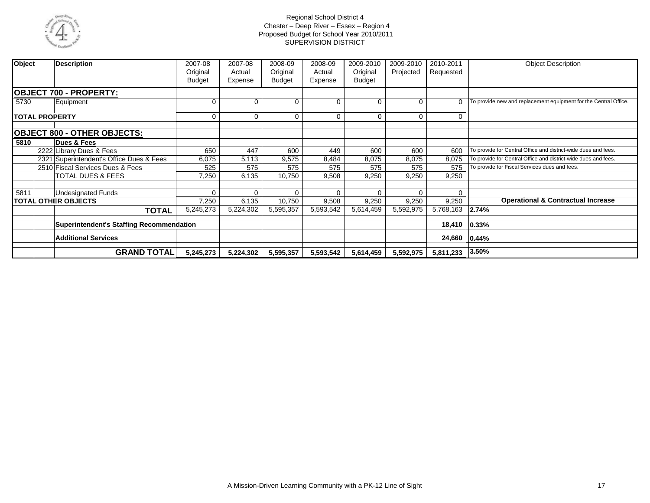

| Object<br><b>Description</b>                    | 2007-08<br>Original<br><b>Budget</b> | 2007-08<br>Actual<br>Expense | 2008-09<br>Original<br><b>Budget</b> | 2008-09<br>Actual<br>Expense | 2009-2010<br>Original<br><b>Budget</b> | 2009-2010<br>Projected | 2010-2011<br>Requested | <b>Object Description</b>                                        |
|-------------------------------------------------|--------------------------------------|------------------------------|--------------------------------------|------------------------------|----------------------------------------|------------------------|------------------------|------------------------------------------------------------------|
| <b>OBJECT 700 - PROPERTY:</b>                   |                                      |                              |                                      |                              |                                        |                        |                        |                                                                  |
| 5730<br>Equipment                               | $\Omega$                             | $\Omega$                     | 0                                    | 0                            | $\Omega$                               | $\Omega$               | $\Omega$               | To provide new and replacement equipment for the Central Office. |
| <b>TOTAL PROPERTY</b>                           | $\Omega$                             | $\mathbf 0$                  | $\Omega$                             | 0                            | $\Omega$                               | 0                      | 0                      |                                                                  |
| <b>OBJECT 800 - OTHER OBJECTS:</b>              |                                      |                              |                                      |                              |                                        |                        |                        |                                                                  |
| 5810<br>Dues & Fees                             |                                      |                              |                                      |                              |                                        |                        |                        |                                                                  |
| 2222 Library Dues & Fees                        | 650                                  | 447                          | 600                                  | 449                          | 600                                    | 600                    | 600                    | To provide for Central Office and district-wide dues and fees.   |
| 2321 Superintendent's Office Dues & Fees        | 6,075                                | 5,113                        | 9,575                                | 8,484                        | 8,075                                  | 8,075                  | 8,075                  | To provide for Central Office and district-wide dues and fees.   |
| 2510 Fiscal Services Dues & Fees                | 525                                  | 575                          | 575                                  | 575                          | 575                                    | 575                    | 575                    | To provide for Fiscal Services dues and fees.                    |
| TOTAL DUES & FEES                               | 7,250                                | 6,135                        | 10,750                               | 9,508                        | 9,250                                  | 9,250                  | 9,250                  |                                                                  |
| 5811<br><b>Undesignated Funds</b>               | $\Omega$                             | $\mathbf 0$                  | 0                                    | $\Omega$                     | $\Omega$                               | $\Omega$               | 0                      |                                                                  |
| <b>TOTAL OTHER OBJECTS</b>                      | 7,250                                | 6,135                        | 10,750                               | 9,508                        | 9,250                                  | 9,250                  | 9,250                  | <b>Operational &amp; Contractual Increase</b>                    |
| <b>TOTAL</b>                                    | 5,245,273                            | 5,224,302                    | 5,595,357                            | 5,593,542                    | 5,614,459                              | 5,592,975              | 5,768,163              | 2.74%                                                            |
| <b>Superintendent's Staffing Recommendation</b> |                                      |                              |                                      |                              |                                        |                        | 18,410                 | 0.33%                                                            |
| <b>Additional Services</b>                      |                                      |                              |                                      |                              |                                        | 24,660                 | 0.44%                  |                                                                  |
| <b>GRAND TOTAL</b>                              | 5,245,273                            | 5,224,302                    | 5,595,357                            | 5,593,542                    | 5,614,459                              | 5,592,975              | 5,811,233              | 3.50%                                                            |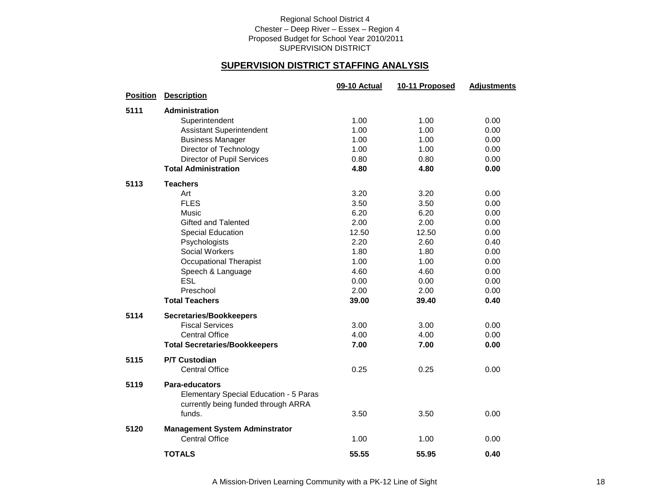### **SUPERVISION DISTRICT STAFFING ANALYSIS**

|                 |                                        | 09-10 Actual | 10-11 Proposed | <b>Adjustments</b> |
|-----------------|----------------------------------------|--------------|----------------|--------------------|
| <b>Position</b> | <b>Description</b>                     |              |                |                    |
| 5111            | <b>Administration</b>                  |              |                |                    |
|                 | Superintendent                         | 1.00         | 1.00           | 0.00               |
|                 | <b>Assistant Superintendent</b>        | 1.00         | 1.00           | 0.00               |
|                 | <b>Business Manager</b>                | 1.00         | 1.00           | 0.00               |
|                 | Director of Technology                 | 1.00         | 1.00           | 0.00               |
|                 | Director of Pupil Services             | 0.80         | 0.80           | 0.00               |
|                 | <b>Total Administration</b>            | 4.80         | 4.80           | 0.00               |
| 5113            | <b>Teachers</b>                        |              |                |                    |
|                 | Art                                    | 3.20         | 3.20           | 0.00               |
|                 | <b>FLES</b>                            | 3.50         | 3.50           | 0.00               |
|                 | Music                                  | 6.20         | 6.20           | 0.00               |
|                 | Gifted and Talented                    | 2.00         | 2.00           | 0.00               |
|                 | <b>Special Education</b>               | 12.50        | 12.50          | 0.00               |
|                 | Psychologists                          | 2.20         | 2.60           | 0.40               |
|                 | <b>Social Workers</b>                  | 1.80         | 1.80           | 0.00               |
|                 | <b>Occupational Therapist</b>          | 1.00         | 1.00           | 0.00               |
|                 | Speech & Language                      | 4.60         | 4.60           | 0.00               |
|                 | <b>ESL</b>                             | 0.00         | 0.00           | 0.00               |
|                 | Preschool                              | 2.00         | 2.00           | 0.00               |
|                 | <b>Total Teachers</b>                  | 39.00        | 39.40          | 0.40               |
| 5114            | <b>Secretaries/Bookkeepers</b>         |              |                |                    |
|                 | <b>Fiscal Services</b>                 | 3.00         | 3.00           | 0.00               |
|                 | <b>Central Office</b>                  | 4.00         | 4.00           | 0.00               |
|                 | <b>Total Secretaries/Bookkeepers</b>   | 7.00         | 7.00           | 0.00               |
| 5115            | <b>P/T Custodian</b>                   |              |                |                    |
|                 | <b>Central Office</b>                  | 0.25         | 0.25           | 0.00               |
| 5119            | Para-educators                         |              |                |                    |
|                 | Elementary Special Education - 5 Paras |              |                |                    |
|                 | currently being funded through ARRA    |              |                |                    |
|                 | funds.                                 | 3.50         | 3.50           | 0.00               |
| 5120            | <b>Management System Adminstrator</b>  |              |                |                    |
|                 | <b>Central Office</b>                  | 1.00         | 1.00           | 0.00               |
|                 | <b>TOTALS</b>                          | 55.55        | 55.95          | 0.40               |
|                 |                                        |              |                |                    |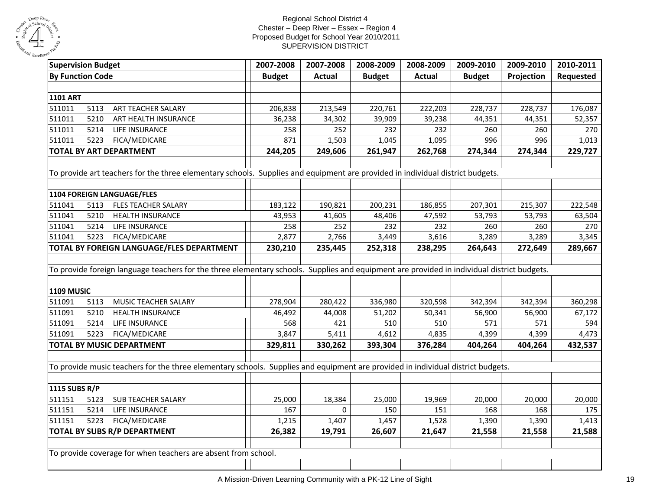

| <b>By Function Code</b><br><b>Actual</b><br><b>Budget</b><br><b>Actual</b><br><b>Budget</b><br><b>Budget</b><br>Projection<br><b>1101 ART</b><br>511011<br>5113<br>ART TEACHER SALARY<br>213,549<br>206,838<br>220,761<br>222,203<br>228,737<br>228,737 | Requested<br>176,087<br>52,357<br>270 |
|---------------------------------------------------------------------------------------------------------------------------------------------------------------------------------------------------------------------------------------------------------|---------------------------------------|
|                                                                                                                                                                                                                                                         |                                       |
|                                                                                                                                                                                                                                                         |                                       |
|                                                                                                                                                                                                                                                         |                                       |
|                                                                                                                                                                                                                                                         |                                       |
| 511011<br>5210<br>ART HEALTH INSURANCE<br>34,302<br>39,909<br>39,238<br>36,238<br>44,351<br>44,351                                                                                                                                                      |                                       |
| 511011<br>5214<br>LIFE INSURANCE<br>252<br>232<br>232<br>260<br>260<br>258                                                                                                                                                                              |                                       |
| 511011<br>5223<br>FICA/MEDICARE<br>1,503<br>1,045<br>1,095<br>996<br>996<br>871                                                                                                                                                                         | 1,013                                 |
| 261,947<br>274,344<br>274,344<br><b>TOTAL BY ART DEPARTMENT</b><br>244,205<br>249,606<br>262,768                                                                                                                                                        | 229,727                               |
|                                                                                                                                                                                                                                                         |                                       |
| To provide art teachers for the three elementary schools. Supplies and equipment are provided in individual district budgets.                                                                                                                           |                                       |
|                                                                                                                                                                                                                                                         |                                       |
| 1104 FOREIGN LANGUAGE/FLES                                                                                                                                                                                                                              |                                       |
| 511041<br><b>FLES TEACHER SALARY</b><br>5113<br>190,821<br>200,231<br>186,855<br>183,122<br>207,301<br>215,307                                                                                                                                          | 222,548                               |
| 511041<br>5210<br><b>HEALTH INSURANCE</b><br>43,953<br>41,605<br>48,406<br>47,592<br>53,793<br>53,793                                                                                                                                                   | 63,504                                |
| 511041<br>5214<br>LIFE INSURANCE<br>258<br>252<br>232<br>260<br>260<br>232                                                                                                                                                                              | 270                                   |
| 511041<br>5223<br>FICA/MEDICARE<br>3,449<br>3,616<br>3,289<br>2,877<br>2,766<br>3,289                                                                                                                                                                   | 3,345                                 |
| TOTAL BY FOREIGN LANGUAGE/FLES DEPARTMENT<br>235,445<br>252,318<br>238,295<br>264,643<br>272,649<br>230,210                                                                                                                                             | 289,667                               |
|                                                                                                                                                                                                                                                         |                                       |
| To provide foreign language teachers for the three elementary schools. Supplies and equipment are provided in individual district budgets.                                                                                                              |                                       |
|                                                                                                                                                                                                                                                         |                                       |
| <b>1109 MUSIC</b>                                                                                                                                                                                                                                       |                                       |
| 511091<br>5113<br>MUSIC TEACHER SALARY<br>336,980<br>320,598<br>342,394<br>278,904<br>280,422<br>342,394                                                                                                                                                | 360,298                               |
| 511091<br>5210<br>44,008<br>51,202<br>50,341<br>56,900<br>HEALTH INSURANCE<br>46,492<br>56,900                                                                                                                                                          | 67,172                                |
| 5214<br>511091<br>LIFE INSURANCE<br>568<br>421<br>510<br>510<br>571<br>571                                                                                                                                                                              | 594                                   |
| 511091<br>5223<br>FICA/MEDICARE<br>3,847<br>5,411<br>4,612<br>4,835<br>4,399<br>4,399                                                                                                                                                                   | 4,473                                 |
| <b>TOTAL BY MUSIC DEPARTMENT</b><br>329,811<br>330,262<br>393,304<br>376,284<br>404,264<br>404,264                                                                                                                                                      | 432,537                               |
|                                                                                                                                                                                                                                                         |                                       |
| To provide music teachers for the three elementary schools. Supplies and equipment are provided in individual district budgets.                                                                                                                         |                                       |
|                                                                                                                                                                                                                                                         |                                       |
| 1115 SUBS R/P                                                                                                                                                                                                                                           |                                       |
| 511151<br>5123<br><b>SUB TEACHER SALARY</b><br>25,000<br>18,384<br>25,000<br>19,969<br>20,000<br>20,000                                                                                                                                                 | 20,000                                |
| 511151<br>5214<br>LIFE INSURANCE<br>167<br>$\mathbf 0$<br>150<br>151<br>168<br>168                                                                                                                                                                      | 175                                   |
| 511151<br>5223<br>FICA/MEDICARE<br>1,215<br>1,407<br>1,457<br>1,528<br>1,390<br>1,390                                                                                                                                                                   | 1,413                                 |
| 21,647<br>TOTAL BY SUBS R/P DEPARTMENT<br>26,382<br>19,791<br>26,607<br>21,558<br>21,558                                                                                                                                                                | 21,588                                |
|                                                                                                                                                                                                                                                         |                                       |
| To provide coverage for when teachers are absent from school.                                                                                                                                                                                           |                                       |
|                                                                                                                                                                                                                                                         |                                       |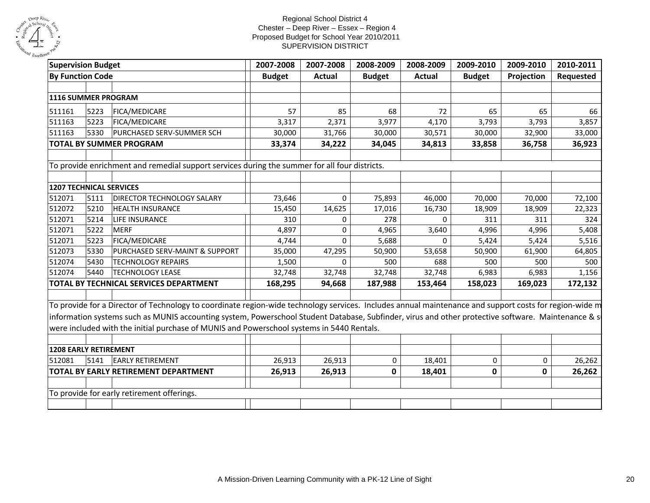

| <b>Supervision Budget</b> |      |                                                                                                                                                        | 2007-2008     | 2007-2008     | 2008-2009     | 2008-2009 | 2009-2010     | 2009-2010   | 2010-2011 |
|---------------------------|------|--------------------------------------------------------------------------------------------------------------------------------------------------------|---------------|---------------|---------------|-----------|---------------|-------------|-----------|
| <b>By Function Code</b>   |      |                                                                                                                                                        | <b>Budget</b> | <b>Actual</b> | <b>Budget</b> | Actual    | <b>Budget</b> | Projection  | Requested |
|                           |      |                                                                                                                                                        |               |               |               |           |               |             |           |
| 1116 SUMMER PROGRAM       |      |                                                                                                                                                        |               |               |               |           |               |             |           |
| 511161                    | 5223 | FICA/MEDICARE                                                                                                                                          | 57            | 85            | 68            | 72        | 65            | 65          | 66        |
| 511163                    | 5223 | FICA/MEDICARE                                                                                                                                          | 3,317         | 2,371         | 3,977         | 4,170     | 3,793         | 3,793       | 3,857     |
| 511163                    | 5330 | PURCHASED SERV-SUMMER SCH                                                                                                                              | 30,000        | 31,766        | 30,000        | 30,571    | 30,000        | 32,900      | 33,000    |
|                           |      | <b>TOTAL BY SUMMER PROGRAM</b>                                                                                                                         | 33,374        | 34,222        | 34,045        | 34,813    | 33,858        | 36,758      | 36,923    |
|                           |      |                                                                                                                                                        |               |               |               |           |               |             |           |
|                           |      | To provide enrichment and remedial support services during the summer for all four districts.                                                          |               |               |               |           |               |             |           |
|                           |      |                                                                                                                                                        |               |               |               |           |               |             |           |
| 1207 TECHNICAL SERVICES   |      |                                                                                                                                                        |               |               |               |           |               |             |           |
| 512071                    | 5111 | DIRECTOR TECHNOLOGY SALARY                                                                                                                             | 73,646        | $\mathbf 0$   | 75,893        | 46,000    | 70,000        | 70,000      | 72,100    |
| 512072                    | 5210 | <b>HEALTH INSURANCE</b>                                                                                                                                | 15,450        | 14,625        | 17,016        | 16,730    | 18,909        | 18,909      | 22,323    |
| 512071                    | 5214 | LIFE INSURANCE                                                                                                                                         | 310           | 0             | 278           | 0         | 311           | 311         | 324       |
| 512071                    | 5222 | <b>MERF</b>                                                                                                                                            | 4,897         | $\Omega$      | 4,965         | 3,640     | 4,996         | 4,996       | 5,408     |
| 512071                    | 5223 | FICA/MEDICARE                                                                                                                                          | 4,744         | $\Omega$      | 5,688         | $\Omega$  | 5,424         | 5,424       | 5,516     |
| 512073                    | 5330 | PURCHASED SERV-MAINT & SUPPORT                                                                                                                         | 35,000        | 47,295        | 50,900        | 53,658    | 50,900        | 61,900      | 64,805    |
| 512074                    | 5430 | <b>TECHNOLOGY REPAIRS</b>                                                                                                                              | 1,500         | 0             | 500           | 688       | 500           | 500         | 500       |
| 512074                    | 5440 | <b>TECHNOLOGY LEASE</b>                                                                                                                                | 32,748        | 32,748        | 32,748        | 32,748    | 6,983         | 6,983       | 1,156     |
|                           |      | TOTAL BY TECHNICAL SERVICES DEPARTMENT                                                                                                                 | 168,295       | 94,668        | 187,988       | 153,464   | 158,023       | 169,023     | 172,132   |
|                           |      |                                                                                                                                                        |               |               |               |           |               |             |           |
|                           |      | To provide for a Director of Technology to coordinate region-wide technology services. Includes annual maintenance and support costs for region-wide m |               |               |               |           |               |             |           |
|                           |      | information systems such as MUNIS accounting system, Powerschool Student Database, Subfinder, virus and other protective software. Maintenance & s     |               |               |               |           |               |             |           |
|                           |      | were included with the initial purchase of MUNIS and Powerschool systems in 5440 Rentals.                                                              |               |               |               |           |               |             |           |
|                           |      |                                                                                                                                                        |               |               |               |           |               |             |           |
| 1208 EARLY RETIREMENT     |      |                                                                                                                                                        |               |               |               |           |               |             |           |
| 512081                    | 5141 | <b>EARLY RETIREMENT</b>                                                                                                                                | 26,913        | 26,913        | 0             | 18,401    | 0             | $\mathbf 0$ | 26,262    |
|                           |      | TOTAL BY EARLY RETIREMENT DEPARTMENT                                                                                                                   | 26,913        | 26,913        | 0             | 18,401    | 0             | 0           | 26,262    |
|                           |      |                                                                                                                                                        |               |               |               |           |               |             |           |
|                           |      | To provide for early retirement offerings.                                                                                                             |               |               |               |           |               |             |           |
|                           |      |                                                                                                                                                        |               |               |               |           |               |             |           |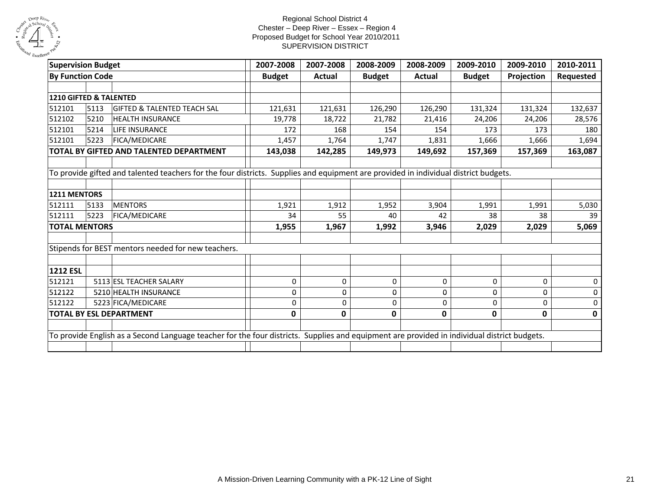

| <b>Supervision Budget</b>                          | 2007-2008     | 2007-2008 | 2008-2009     | 2008-2009 | 2009-2010     | 2009-2010  | 2010-2011                                                                                                                                                                                                                                                                          |
|----------------------------------------------------|---------------|-----------|---------------|-----------|---------------|------------|------------------------------------------------------------------------------------------------------------------------------------------------------------------------------------------------------------------------------------------------------------------------------------|
| <b>By Function Code</b>                            | <b>Budget</b> | Actual    | <b>Budget</b> | Actual    | <b>Budget</b> | Projection | Requested                                                                                                                                                                                                                                                                          |
|                                                    |               |           |               |           |               |            |                                                                                                                                                                                                                                                                                    |
| 1210 GIFTED & TALENTED                             |               |           |               |           |               |            |                                                                                                                                                                                                                                                                                    |
| 5113<br><b>GIFTED &amp; TALENTED TEACH SAL</b>     | 121,631       | 121,631   | 126,290       | 126,290   | 131,324       | 131,324    | 132,637                                                                                                                                                                                                                                                                            |
| 5210<br><b>HEALTH INSURANCE</b>                    | 19,778        | 18,722    | 21,782        | 21,416    | 24,206        | 24,206     | 28,576                                                                                                                                                                                                                                                                             |
| 5214<br><b>LIFE INSURANCE</b>                      | 172           | 168       | 154           | 154       | 173           | 173        | 180                                                                                                                                                                                                                                                                                |
| 5223<br><b>FICA/MEDICARE</b>                       | 1,457         | 1,764     | 1,747         | 1,831     | 1,666         | 1,666      | 1,694                                                                                                                                                                                                                                                                              |
| TOTAL BY GIFTED AND TALENTED DEPARTMENT            |               | 142,285   | 149,973       | 149,692   | 157,369       | 157,369    | 163,087                                                                                                                                                                                                                                                                            |
|                                                    |               |           |               |           |               |            |                                                                                                                                                                                                                                                                                    |
|                                                    |               |           |               |           |               |            |                                                                                                                                                                                                                                                                                    |
|                                                    |               |           |               |           |               |            |                                                                                                                                                                                                                                                                                    |
| 1211 MENTORS                                       |               |           |               |           |               |            |                                                                                                                                                                                                                                                                                    |
| 5133<br><b>MENTORS</b>                             | 1,921         | 1,912     | 1,952         | 3,904     | 1,991         | 1,991      | 5,030                                                                                                                                                                                                                                                                              |
| 5223<br>FICA/MEDICARE                              | 34            | 55        | 40            | 42        | 38            | 38         | 39                                                                                                                                                                                                                                                                                 |
| <b>TOTAL MENTORS</b>                               | 1,955         | 1,967     | 1,992         | 3,946     | 2,029         | 2,029      | 5,069                                                                                                                                                                                                                                                                              |
| Stipends for BEST mentors needed for new teachers. |               |           |               |           |               |            |                                                                                                                                                                                                                                                                                    |
| <b>1212 ESL</b>                                    |               |           |               |           |               |            |                                                                                                                                                                                                                                                                                    |
| 5113 ESL TEACHER SALARY                            | 0             | 0         | 0             | 0         | 0             | 0          | 0                                                                                                                                                                                                                                                                                  |
| 5210 HEALTH INSURANCE                              | 0             | 0         | 0             | 0         | 0             | 0          | 0                                                                                                                                                                                                                                                                                  |
| 5223 FICA/MEDICARE                                 | 0             | 0         | 0             | 0         | $\mathbf 0$   | 0          | 0                                                                                                                                                                                                                                                                                  |
| <b>TOTAL BY ESL DEPARTMENT</b>                     | 0             | 0         | 0             | 0         | 0             | 0          | 0                                                                                                                                                                                                                                                                                  |
|                                                    |               |           |               |           |               |            |                                                                                                                                                                                                                                                                                    |
|                                                    |               |           |               |           |               |            |                                                                                                                                                                                                                                                                                    |
|                                                    |               | 143,038   |               |           |               |            | To provide gifted and talented teachers for the four districts. Supplies and equipment are provided in individual district budgets.<br>To provide English as a Second Language teacher for the four districts. Supplies and equipment are provided in individual district budgets. |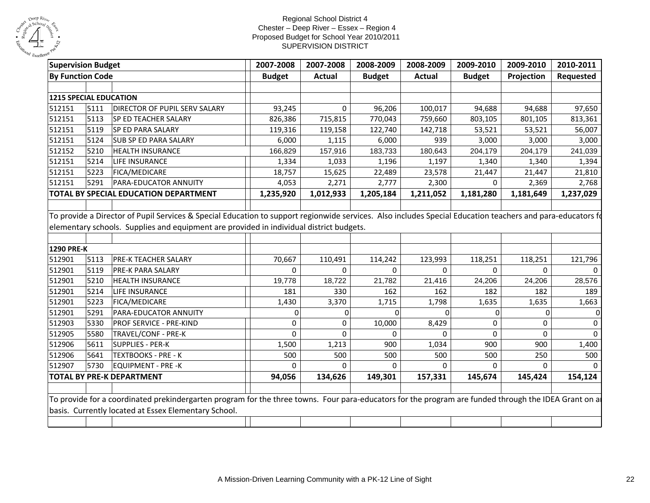

| <b>Supervision Budget</b>     |      |                                                                                                                                                            | 2007-2008      | 2007-2008     | 2008-2009     | 2008-2009     | 2009-2010     | 2009-2010    | 2010-2011 |
|-------------------------------|------|------------------------------------------------------------------------------------------------------------------------------------------------------------|----------------|---------------|---------------|---------------|---------------|--------------|-----------|
| <b>By Function Code</b>       |      |                                                                                                                                                            | <b>Budget</b>  | <b>Actual</b> | <b>Budget</b> | <b>Actual</b> | <b>Budget</b> | Projection   | Requested |
|                               |      |                                                                                                                                                            |                |               |               |               |               |              |           |
| <b>1215 SPECIAL EDUCATION</b> |      |                                                                                                                                                            |                |               |               |               |               |              |           |
| 512151                        | 5111 | DIRECTOR OF PUPIL SERV SALARY                                                                                                                              | 93,245         | 0             | 96,206        | 100,017       | 94,688        | 94,688       | 97,650    |
| 512151                        | 5113 | SP ED TEACHER SALARY                                                                                                                                       | 826,386        | 715,815       | 770,043       | 759,660       | 803,105       | 801,105      | 813,361   |
| 512151                        | 5119 | SP ED PARA SALARY                                                                                                                                          | 119,316        | 119,158       | 122,740       | 142,718       | 53,521        | 53,521       | 56,007    |
| 512151                        | 5124 | SUB SP ED PARA SALARY                                                                                                                                      | 6,000          | 1,115         | 6,000         | 939           | 3,000         | 3,000        | 3,000     |
| 512152                        | 5210 | <b>HEALTH INSURANCE</b>                                                                                                                                    | 166,829        | 157,916       | 183,733       | 180,643       | 204,179       | 204,179      | 241,039   |
| 512151                        | 5214 | LIFE INSURANCE                                                                                                                                             | 1,334          | 1,033         | 1,196         | 1,197         | 1,340         | 1,340        | 1,394     |
| 512151                        | 5223 | <b>FICA/MEDICARE</b>                                                                                                                                       | 18,757         | 15,625        | 22,489        | 23,578        | 21,447        | 21,447       | 21,810    |
| 512151                        | 5291 | PARA-EDUCATOR ANNUITY                                                                                                                                      | 4,053          | 2,271         | 2,777         | 2,300         | $\Omega$      | 2,369        | 2,768     |
|                               |      | TOTAL BY SPECIAL EDUCATION DEPARTMENT                                                                                                                      | 1,235,920      | 1,012,933     | 1,205,184     | 1,211,052     | 1,181,280     | 1,181,649    | 1,237,029 |
|                               |      |                                                                                                                                                            |                |               |               |               |               |              |           |
|                               |      | To provide a Director of Pupil Services & Special Education to support regionwide services. Also includes Special Education teachers and para-educators fo |                |               |               |               |               |              |           |
|                               |      | elementary schools. Supplies and equipment are provided in individual district budgets.                                                                    |                |               |               |               |               |              |           |
|                               |      |                                                                                                                                                            |                |               |               |               |               |              |           |
| <b>1290 PRE-K</b>             |      |                                                                                                                                                            |                |               |               |               |               |              |           |
| 512901                        | 5113 | PRE-K TEACHER SALARY                                                                                                                                       | 70,667         | 110,491       | 114,242       | 123,993       | 118,251       | 118,251      | 121,796   |
| 512901                        | 5119 | PRE-K PARA SALARY                                                                                                                                          | $\Omega$       | 0             | $\Omega$      | $\Omega$      | $\Omega$      | 0            |           |
| 512901                        | 5210 | <b>HEALTH INSURANCE</b>                                                                                                                                    | 19,778         | 18,722        | 21,782        | 21,416        | 24,206        | 24,206       | 28,576    |
| 512901                        | 5214 | LIFE INSURANCE                                                                                                                                             | 181            | 330           | 162           | 162           | 182           | 182          | 189       |
| 512901                        | 5223 | FICA/MEDICARE                                                                                                                                              | 1,430          | 3,370         | 1,715         | 1,798         | 1,635         | 1,635        | 1,663     |
| 512901                        | 5291 | PARA-EDUCATOR ANNUITY                                                                                                                                      | $\overline{0}$ | $\Omega$      | 0             | $\Omega$      | $\mathbf{0}$  | $\mathbf{0}$ |           |
| 512903                        | 5330 | PROF SERVICE - PRE-KIND                                                                                                                                    | $\Omega$       | $\Omega$      | 10,000        | 8,429         | $\mathbf 0$   | $\Omega$     | 0         |
| 512905                        | 5580 | TRAVEL/CONF - PRE-K                                                                                                                                        | $\Omega$       | $\Omega$      | $\Omega$      | $\Omega$      | $\mathbf 0$   | $\Omega$     | $\Omega$  |
| 512906                        | 5611 | <b>SUPPLIES - PER-K</b>                                                                                                                                    | 1,500          | 1,213         | 900           | 1,034         | 900           | 900          | 1,400     |
| 512906                        | 5641 | <b>TEXTBOOKS - PRE - K</b>                                                                                                                                 | 500            | 500           | 500           | 500           | 500           | 250          | 500       |
| 512907                        | 5730 | <b>EQUIPMENT - PRE -K</b>                                                                                                                                  | $\Omega$       | 0             | $\Omega$      | $\Omega$      | $\Omega$      | $\mathbf{0}$ |           |
|                               |      | <b>TOTAL BY PRE-K DEPARTMENT</b>                                                                                                                           | 94,056         | 134,626       | 149,301       | 157,331       | 145,674       | 145,424      | 154,124   |
|                               |      |                                                                                                                                                            |                |               |               |               |               |              |           |
|                               |      | To provide for a coordinated prekindergarten program for the three towns. Four para-educators for the program are funded through the IDEA Grant on a       |                |               |               |               |               |              |           |
|                               |      | basis. Currently located at Essex Elementary School.                                                                                                       |                |               |               |               |               |              |           |
|                               |      |                                                                                                                                                            |                |               |               |               |               |              |           |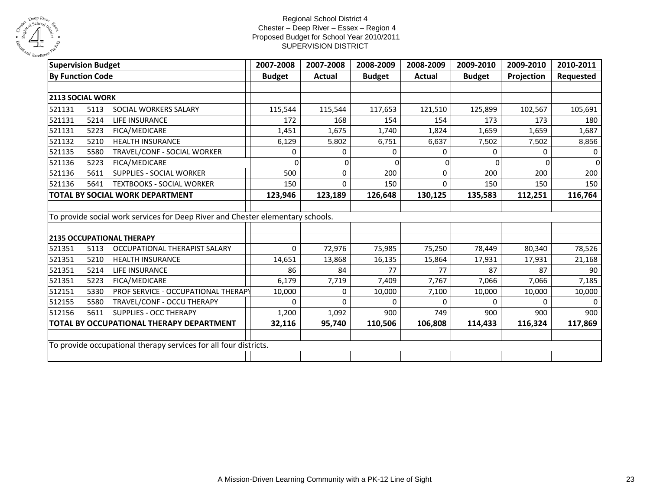

| <b>Supervision Budget</b> |      |                                                                                | 2007-2008     | 2007-2008 | 2008-2009     | 2008-2009 | 2009-2010     | 2009-2010  | 2010-2011 |
|---------------------------|------|--------------------------------------------------------------------------------|---------------|-----------|---------------|-----------|---------------|------------|-----------|
| <b>By Function Code</b>   |      |                                                                                | <b>Budget</b> | Actual    | <b>Budget</b> | Actual    | <b>Budget</b> | Projection | Requested |
|                           |      |                                                                                |               |           |               |           |               |            |           |
| 2113 SOCIAL WORK          |      |                                                                                |               |           |               |           |               |            |           |
| 521131                    | 5113 | SOCIAL WORKERS SALARY                                                          | 115,544       | 115,544   | 117,653       | 121,510   | 125,899       | 102,567    | 105,691   |
| 521131                    | 5214 | <b>LIFE INSURANCE</b>                                                          | 172           | 168       | 154           | 154       | 173           | 173        | 180       |
| 521131                    | 5223 | FICA/MEDICARE                                                                  | 1,451         | 1,675     | 1,740         | 1,824     | 1,659         | 1,659      | 1,687     |
| 521132                    | 5210 | <b>HEALTH INSURANCE</b>                                                        | 6,129         | 5,802     | 6,751         | 6,637     | 7,502         | 7,502      | 8,856     |
| 521135                    | 5580 | TRAVEL/CONF - SOCIAL WORKER                                                    | 0             | 0         | 0             | 0         | 0             | 0          | $\Omega$  |
| 521136                    | 5223 | FICA/MEDICARE                                                                  | $\Omega$      | 0         | $\Omega$      | $\Omega$  | 0             | $\Omega$   | $\Omega$  |
| 521136                    | 5611 | <b>SUPPLIES - SOCIAL WORKER</b>                                                | 500           | 0         | 200           | 0         | 200           | 200        | 200       |
| 521136                    | 5641 | TEXTBOOKS - SOCIAL WORKER                                                      | 150           | 0         | 150           | $\Omega$  | 150           | 150        | 150       |
|                           |      | <b>TOTAL BY SOCIAL WORK DEPARTMENT</b>                                         | 123,946       | 123,189   | 126,648       | 130,125   | 135,583       | 112,251    | 116,764   |
|                           |      |                                                                                |               |           |               |           |               |            |           |
|                           |      | To provide social work services for Deep River and Chester elementary schools. |               |           |               |           |               |            |           |
|                           |      |                                                                                |               |           |               |           |               |            |           |
|                           |      | <b>2135 OCCUPATIONAL THERAPY</b>                                               |               |           |               |           |               |            |           |
| 521351                    | 5113 | OCCUPATIONAL THERAPIST SALARY                                                  | $\Omega$      | 72,976    | 75,985        | 75,250    | 78,449        | 80,340     | 78,526    |
| 521351                    | 5210 | <b>HEALTH INSURANCE</b>                                                        | 14,651        | 13,868    | 16,135        | 15,864    | 17,931        | 17,931     | 21,168    |
| 521351                    | 5214 | LIFE INSURANCE                                                                 | 86            | 84        | 77            | 77        | 87            | 87         | 90        |
| 521351                    | 5223 | FICA/MEDICARE                                                                  | 6,179         | 7,719     | 7,409         | 7,767     | 7,066         | 7,066      | 7,185     |
| 512151                    | 5330 | PROF SERVICE - OCCUPATIONAL THERAPY                                            | 10,000        | 0         | 10,000        | 7,100     | 10,000        | 10,000     | 10,000    |
| 512155                    | 5580 | TRAVEL/CONF - OCCU THERAPY                                                     | 0             | 0         | 0             | 0         | 0             | 0          | $\Omega$  |
| 512156                    | 5611 | <b>SUPPLIES - OCC THERAPY</b>                                                  | 1,200         | 1,092     | 900           | 749       | 900           | 900        | 900       |
|                           |      | TOTAL BY OCCUPATIONAL THERAPY DEPARTMENT                                       | 32,116        | 95,740    | 110,506       | 106,808   | 114,433       | 116,324    | 117,869   |
|                           |      |                                                                                |               |           |               |           |               |            |           |
|                           |      | To provide occupational therapy services for all four districts.               |               |           |               |           |               |            |           |
|                           |      |                                                                                |               |           |               |           |               |            |           |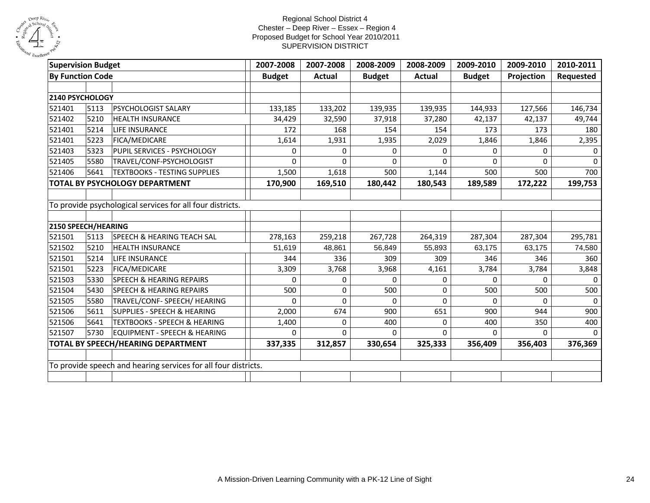

| <b>Supervision Budget</b> |      |                                                                | 2007-2008     | 2007-2008 | 2008-2009     | 2008-2009     | 2009-2010     | 2009-2010  | 2010-2011    |
|---------------------------|------|----------------------------------------------------------------|---------------|-----------|---------------|---------------|---------------|------------|--------------|
| <b>By Function Code</b>   |      |                                                                | <b>Budget</b> | Actual    | <b>Budget</b> | <b>Actual</b> | <b>Budget</b> | Projection | Requested    |
| 2140 PSYCHOLOGY           |      |                                                                |               |           |               |               |               |            |              |
| 521401                    | 5113 | PSYCHOLOGIST SALARY                                            | 133,185       | 133,202   | 139,935       | 139,935       | 144,933       | 127,566    | 146,734      |
| 521402                    | 5210 | <b>HEALTH INSURANCE</b>                                        | 34,429        | 32,590    | 37,918        | 37,280        | 42,137        | 42,137     | 49,744       |
| 521401                    | 5214 | LIFE INSURANCE                                                 | 172           | 168       | 154           | 154           | 173           | 173        | 180          |
| 521401                    | 5223 | FICA/MEDICARE                                                  | 1,614         | 1,931     | 1,935         | 2,029         | 1,846         | 1,846      | 2,395        |
| 521403                    | 5323 | PUPIL SERVICES - PSYCHOLOGY                                    | 0             | $\Omega$  | 0             | $\Omega$      | $\Omega$      | 0          | $\Omega$     |
| 521405                    | 5580 | TRAVEL/CONF-PSYCHOLOGIST                                       | $\Omega$      | 0         | $\Omega$      | $\Omega$      | $\Omega$      | $\Omega$   | $\Omega$     |
| 521406                    | 5641 | <b>TEXTBOOKS - TESTING SUPPLIES</b>                            | 1,500         | 1,618     | 500           | 1,144         | 500           | 500        | 700          |
|                           |      | TOTAL BY PSYCHOLOGY DEPARTMENT                                 | 170,900       | 169,510   | 180,442       | 180,543       | 189,589       | 172,222    | 199,753      |
|                           |      |                                                                |               |           |               |               |               |            |              |
|                           |      | To provide psychological services for all four districts.      |               |           |               |               |               |            |              |
| 2150 SPEECH/HEARING       |      |                                                                |               |           |               |               |               |            |              |
| 521501                    | 5113 | <b>SPEECH &amp; HEARING TEACH SAL</b>                          | 278,163       | 259,218   | 267,728       | 264,319       | 287,304       | 287,304    | 295,781      |
| 521502                    | 5210 | <b>HEALTH INSURANCE</b>                                        | 51,619        | 48,861    | 56,849        | 55,893        | 63,175        | 63,175     | 74,580       |
| 521501                    | 5214 | LIFE INSURANCE                                                 | 344           | 336       | 309           | 309           | 346           | 346        | 360          |
| 521501                    | 5223 | FICA/MEDICARE                                                  | 3,309         | 3,768     | 3,968         | 4,161         | 3,784         | 3,784      | 3,848        |
| 521503                    | 5330 | <b>SPEECH &amp; HEARING REPAIRS</b>                            | 0             | 0         | 0             | 0             | $\Omega$      | 0          | $\Omega$     |
| 521504                    | 5430 | <b>SPEECH &amp; HEARING REPAIRS</b>                            | 500           | $\Omega$  | 500           | $\Omega$      | 500           | 500        | 500          |
| 521505                    | 5580 | TRAVEL/CONF- SPEECH/ HEARING                                   | $\Omega$      | $\Omega$  | $\mathbf{0}$  | $\Omega$      | $\Omega$      | 0          | $\mathbf{0}$ |
| 521506                    | 5611 | <b>SUPPLIES - SPEECH &amp; HEARING</b>                         | 2,000         | 674       | 900           | 651           | 900           | 944        | 900          |
| 521506                    | 5641 | <b>TEXTBOOKS - SPEECH &amp; HEARING</b>                        | 1,400         | $\Omega$  | 400           | 0             | 400           | 350        | 400          |
| 521507                    | 5730 | <b>EQUIPMENT - SPEECH &amp; HEARING</b>                        | $\Omega$      | $\Omega$  | 0             | 0             | $\Omega$      | 0          |              |
|                           |      | TOTAL BY SPEECH/HEARING DEPARTMENT                             | 337,335       | 312,857   | 330,654       | 325,333       | 356,409       | 356,403    | 376,369      |
|                           |      |                                                                |               |           |               |               |               |            |              |
|                           |      | To provide speech and hearing services for all four districts. |               |           |               |               |               |            |              |
|                           |      |                                                                |               |           |               |               |               |            |              |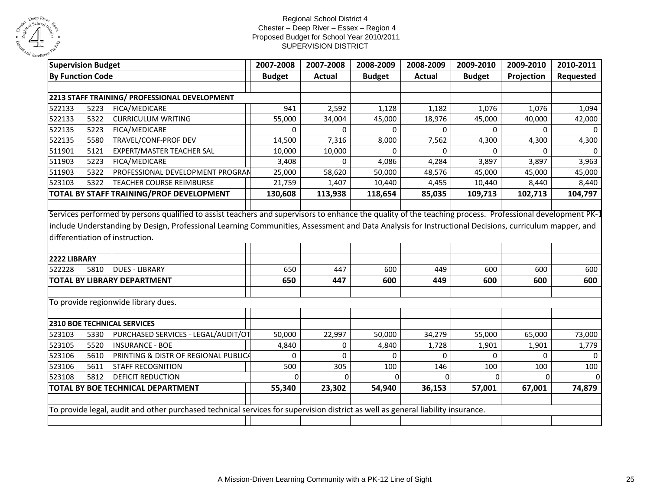

| <b>Supervision Budget</b> |      |                                                                                                                                                          | 2007-2008     | 2007-2008     | 2008-2009      | 2008-2009     | 2009-2010     | 2009-2010      | 2010-2011 |
|---------------------------|------|----------------------------------------------------------------------------------------------------------------------------------------------------------|---------------|---------------|----------------|---------------|---------------|----------------|-----------|
| <b>By Function Code</b>   |      |                                                                                                                                                          | <b>Budget</b> | <b>Actual</b> | <b>Budget</b>  | <b>Actual</b> | <b>Budget</b> | Projection     | Requested |
|                           |      |                                                                                                                                                          |               |               |                |               |               |                |           |
|                           |      | 2213 STAFF TRAINING/ PROFESSIONAL DEVELOPMENT                                                                                                            |               |               |                |               |               |                |           |
| 522133                    | 5223 | FICA/MEDICARE                                                                                                                                            | 941           | 2,592         | 1,128          | 1,182         | 1,076         | 1,076          | 1,094     |
| 522133                    | 5322 | <b>CURRICULUM WRITING</b>                                                                                                                                | 55,000        | 34,004        | 45,000         | 18,976        | 45,000        | 40,000         | 42,000    |
| 522135                    | 5223 | FICA/MEDICARE                                                                                                                                            | 0             | 0             | 0              | 0             | $\Omega$      | $\Omega$       | $\Omega$  |
| 522135                    | 5580 | TRAVEL/CONF-PROF DEV                                                                                                                                     | 14,500        | 7,316         | 8,000          | 7,562         | 4,300         | 4,300          | 4,300     |
| 511901                    | 5121 | <b>EXPERT/MASTER TEACHER SAL</b>                                                                                                                         | 10,000        | 10,000        | 0              | $\Omega$      | $\Omega$      | $\Omega$       |           |
| 511903                    | 5223 | <b>FICA/MEDICARE</b>                                                                                                                                     | 3,408         | 0             | 4,086          | 4,284         | 3,897         | 3,897          | 3,963     |
| 511903                    | 5322 | PROFESSIONAL DEVELOPMENT PROGRAN                                                                                                                         | 25,000        | 58,620        | 50,000         | 48,576        | 45,000        | 45,000         | 45,000    |
| 523103                    | 5322 | <b>TEACHER COURSE REIMBURSE</b>                                                                                                                          | 21,759        | 1,407         | 10,440         | 4,455         | 10,440        | 8,440          | 8,440     |
|                           |      | TOTAL BY STAFF TRAINING/PROF DEVELOPMENT                                                                                                                 | 130,608       | 113,938       | 118,654        | 85,035        | 109,713       | 102,713        | 104,797   |
|                           |      | Services performed by persons qualified to assist teachers and supervisors to enhance the quality of the teaching process. Professional development PK-2 |               |               |                |               |               |                |           |
| 2222 LIBRARY              |      | differentiation of instruction.                                                                                                                          |               |               |                |               |               |                |           |
| 522228                    | 5810 | <b>DUES - LIBRARY</b>                                                                                                                                    | 650           | 447           | 600            | 449           | 600           | 600            | 600       |
|                           |      | <b>TOTAL BY LIBRARY DEPARTMENT</b>                                                                                                                       | 650           | 447           | 600            | 449           | 600           | 600            | 600       |
|                           |      | To provide regionwide library dues.                                                                                                                      |               |               |                |               |               |                |           |
|                           |      | <b>2310 BOE TECHNICAL SERVICES</b>                                                                                                                       |               |               |                |               |               |                |           |
| 523103                    | 5330 | PURCHASED SERVICES - LEGAL/AUDIT/OT                                                                                                                      | 50,000        | 22,997        | 50,000         | 34,279        | 55,000        | 65,000         | 73,000    |
| 523105                    | 5520 | <b>INSURANCE - BOE</b>                                                                                                                                   | 4,840         | 0             | 4,840          | 1,728         | 1,901         | 1,901          | 1,779     |
| 523106                    | 5610 | PRINTING & DISTR OF REGIONAL PUBLICA                                                                                                                     | $\Omega$      | $\Omega$      | $\Omega$       | $\Omega$      | $\Omega$      | $\Omega$       | $\Omega$  |
| 523106                    | 5611 | <b>STAFF RECOGNITION</b>                                                                                                                                 | 500           | 305           | 100            | 146           | 100           | 100            | 100       |
| 523108                    | 5812 | <b>DEFICIT REDUCTION</b>                                                                                                                                 | $\Omega$      | $\mathbf{0}$  | $\overline{0}$ |               | $\Omega$      | $\overline{0}$ |           |
|                           |      | TOTAL BY BOE TECHNICAL DEPARTMENT                                                                                                                        | 55,340        | 23,302        | 54,940         | 36,153        | 57,001        | 67,001         | 74,879    |
|                           |      |                                                                                                                                                          |               |               |                |               |               |                |           |
|                           |      | To provide legal, audit and other purchased technical services for supervision district as well as general liability insurance.                          |               |               |                |               |               |                |           |
|                           |      |                                                                                                                                                          |               |               |                |               |               |                |           |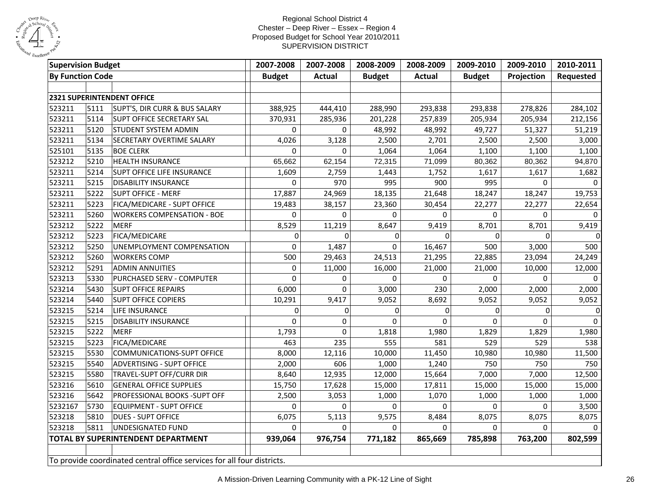

| <b>Supervision Budget</b> |      |                                                                        | 2007-2008     | 2007-2008     | 2008-2009     | 2008-2009     | 2009-2010     | 2009-2010  | 2010-2011    |
|---------------------------|------|------------------------------------------------------------------------|---------------|---------------|---------------|---------------|---------------|------------|--------------|
| <b>By Function Code</b>   |      |                                                                        | <b>Budget</b> | <b>Actual</b> | <b>Budget</b> | <b>Actual</b> | <b>Budget</b> | Projection | Requested    |
|                           |      |                                                                        |               |               |               |               |               |            |              |
|                           |      | 2321 SUPERINTENDENT OFFICE                                             |               |               |               |               |               |            |              |
| 523211                    | 5111 | SUPT'S, DIR CURR & BUS SALARY                                          | 388,925       | 444,410       | 288,990       | 293,838       | 293,838       | 278,826    | 284,102      |
| 523211                    | 5114 | SUPT OFFICE SECRETARY SAL                                              | 370,931       | 285,936       | 201,228       | 257,839       | 205,934       | 205,934    | 212,156      |
| 523211                    | 5120 | <b>STUDENT SYSTEM ADMIN</b>                                            | $\Omega$      | $\Omega$      | 48,992        | 48,992        | 49,727        | 51,327     | 51,219       |
| 523211                    | 5134 | SECRETARY OVERTIME SALARY                                              | 4,026         | 3,128         | 2,500         | 2,701         | 2,500         | 2,500      | 3,000        |
| 525101                    | 5135 | <b>BOE CLERK</b>                                                       | $\Omega$      | $\Omega$      | 1,064         | 1,064         | 1,100         | 1,100      | 1,100        |
| 523212                    | 5210 | <b>HEALTH INSURANCE</b>                                                | 65,662        | 62,154        | 72,315        | 71,099        | 80,362        | 80,362     | 94,870       |
| 523211                    | 5214 | SUPT OFFICE LIFE INSURANCE                                             | 1,609         | 2,759         | 1,443         | 1,752         | 1,617         | 1,617      | 1,682        |
| 523211                    | 5215 | <b>DISABILITY INSURANCE</b>                                            | $\mathbf 0$   | 970           | 995           | 900           | 995           | $\Omega$   | $\Omega$     |
| 523211                    | 5222 | <b>SUPT OFFICE - MERF</b>                                              | 17,887        | 24,969        | 18,135        | 21,648        | 18,247        | 18,247     | 19,753       |
| 523211                    | 5223 | FICA/MEDICARE - SUPT OFFICE                                            | 19,483        | 38,157        | 23,360        | 30,454        | 22,277        | 22,277     | 22,654       |
| 523211                    | 5260 | <b>WORKERS COMPENSATION - BOE</b>                                      | $\mathbf 0$   | $\mathbf 0$   | $\Omega$      | $\mathbf 0$   | $\Omega$      | 0          | $\mathbf{0}$ |
| 523212                    | 5222 | <b>MERF</b>                                                            | 8,529         | 11,219        | 8,647         | 9,419         | 8,701         | 8,701      | 9,419        |
| 523212                    | 5223 | FICA/MEDICARE                                                          | $\mathbf{0}$  | $\Omega$      | 0             | $\Omega$      | $\Omega$      | $\Omega$   | $\Omega$     |
| 523212                    | 5250 | UNEMPLOYMENT COMPENSATION                                              | 0             | 1,487         | $\Omega$      | 16,467        | 500           | 3,000      | 500          |
| 523212                    | 5260 | <b>WORKERS COMP</b>                                                    | 500           | 29,463        | 24,513        | 21,295        | 22,885        | 23,094     | 24,249       |
| 523212                    | 5291 | <b>ADMIN ANNUITIES</b>                                                 | $\mathbf 0$   | 11,000        | 16,000        | 21,000        | 21,000        | 10,000     | 12,000       |
| 523213                    | 5330 | PURCHASED SERV - COMPUTER                                              | $\Omega$      | 0             | $\Omega$      | $\Omega$      | $\Omega$      | $\Omega$   | $\Omega$     |
| 523214                    | 5430 | <b>SUPT OFFICE REPAIRS</b>                                             | 6,000         | 0             | 3,000         | 230           | 2,000         | 2,000      | 2,000        |
| 523214                    | 5440 | <b>SUPT OFFICE COPIERS</b>                                             | 10,291        | 9,417         | 9,052         | 8,692         | 9,052         | 9,052      | 9,052        |
| 523215                    | 5214 | LIFE INSURANCE                                                         | $\mathbf 0$   | $\mathbf 0$   | 0             | $\Omega$      | $\Omega$      | $\Omega$   | 0            |
| 523215                    | 5215 | <b>DISABILITY INSURANCE</b>                                            | $\mathbf 0$   | 0             | $\Omega$      | 0             | $\Omega$      | $\Omega$   | $\mathbf{0}$ |
| 523215                    | 5222 | <b>MERF</b>                                                            | 1,793         | 0             | 1,818         | 1,980         | 1,829         | 1,829      | 1,980        |
| 523215                    | 5223 | FICA/MEDICARE                                                          | 463           | 235           | 555           | 581           | 529           | 529        | 538          |
| 523215                    | 5530 | <b>COMMUNICATIONS-SUPT OFFICE</b>                                      | 8,000         | 12,116        | 10,000        | 11,450        | 10,980        | 10,980     | 11,500       |
| 523215                    | 5540 | ADVERTISING - SUPT OFFICE                                              | 2,000         | 606           | 1,000         | 1,240         | 750           | 750        | 750          |
| 523215                    | 5580 | TRAVEL-SUPT OFF/CURR DIR                                               | 8,640         | 12,935        | 12,000        | 15,664        | 7,000         | 7,000      | 12,500       |
| 523216                    | 5610 | <b>GENERAL OFFICE SUPPLIES</b>                                         | 15,750        | 17,628        | 15,000        | 17,811        | 15,000        | 15,000     | 15,000       |
| 523216                    | 5642 | PROFESSIONAL BOOKS -SUPT OFF                                           | 2,500         | 3,053         | 1,000         | 1,070         | 1,000         | 1,000      | 1,000        |
| 5232167                   | 5730 | <b>EQUIPMENT - SUPT OFFICE</b>                                         | $\mathbf 0$   | $\Omega$      | $\Omega$      | $\Omega$      | $\Omega$      | 0          | 3,500        |
| 523218                    | 5810 | <b>DUES - SUPT OFFICE</b>                                              | 6,075         | 5,113         | 9,575         | 8,484         | 8,075         | 8,075      | 8,075        |
| 523218                    | 5811 | UNDESIGNATED FUND                                                      | $\mathbf 0$   | $\mathbf 0$   | $\mathbf 0$   | $\mathbf 0$   | $\Omega$      | 0          |              |
|                           |      | <b>TOTAL BY SUPERINTENDENT DEPARTMENT</b>                              | 939,064       | 976,754       | 771,182       | 865,669       | 785,898       | 763,200    | 802,599      |
|                           |      |                                                                        |               |               |               |               |               |            |              |
|                           |      | To provide coordinated central office services for all four districts. |               |               |               |               |               |            |              |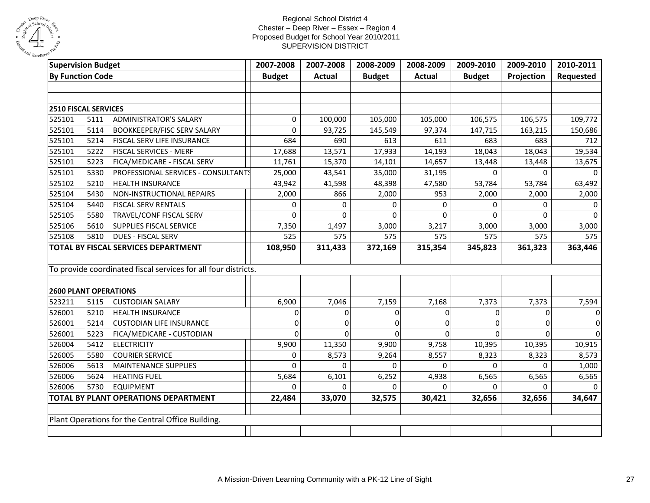

| <b>Supervision Budget</b>                         |      |                                                                | 2007-2008   | 2007-2008     | 2008-2009     | 2008-2009     | 2009-2010   | 2009-2010   | 2010-2011      |
|---------------------------------------------------|------|----------------------------------------------------------------|-------------|---------------|---------------|---------------|-------------|-------------|----------------|
| <b>By Function Code</b>                           |      | <b>Budget</b>                                                  | Actual      | <b>Budget</b> | <b>Actual</b> | <b>Budget</b> | Projection  | Requested   |                |
|                                                   |      |                                                                |             |               |               |               |             |             |                |
|                                                   |      |                                                                |             |               |               |               |             |             |                |
| 2510 FISCAL SERVICES                              |      |                                                                |             |               |               |               |             |             |                |
| 525101                                            | 5111 | <b>ADMINISTRATOR'S SALARY</b>                                  | 0           | 100,000       | 105,000       | 105,000       | 106,575     | 106,575     | 109,772        |
| 525101                                            | 5114 | <b>BOOKKEEPER/FISC SERV SALARY</b>                             | $\mathbf 0$ | 93,725        | 145,549       | 97,374        | 147,715     | 163,215     | 150,686        |
| 525101                                            | 5214 | FISCAL SERV LIFE INSURANCE                                     | 684         | 690           | 613           | 611           | 683         | 683         | 712            |
| 525101                                            | 5222 | FISCAL SERVICES - MERF                                         | 17,688      | 13,571        | 17,933        | 14,193        | 18,043      | 18,043      | 19,534         |
| 525101                                            | 5223 | FICA/MEDICARE - FISCAL SERV                                    | 11,761      | 15,370        | 14,101        | 14,657        | 13,448      | 13,448      | 13,675         |
| 525101                                            | 5330 | PROFESSIONAL SERVICES - CONSULTANTS                            | 25,000      | 43,541        | 35,000        | 31,195        | $\mathbf 0$ | 0           | $\Omega$       |
| 525102                                            | 5210 | HEALTH INSURANCE                                               | 43,942      | 41,598        | 48,398        | 47,580        | 53,784      | 53,784      | 63,492         |
| 525104                                            | 5430 | NON-INSTRUCTIONAL REPAIRS                                      | 2,000       | 866           | 2,000         | 953           | 2,000       | 2,000       | 2,000          |
| 525104                                            | 5440 | <b>FISCAL SERV RENTALS</b>                                     | $\mathbf 0$ | $\Omega$      | 0             | 0             | $\Omega$    | 0           |                |
| 525105                                            | 5580 | TRAVEL/CONF FISCAL SERV                                        | $\Omega$    | $\Omega$      | $\Omega$      | $\Omega$      | $\Omega$    | $\Omega$    | $\Omega$       |
| 525106                                            | 5610 | SUPPLIES FISCAL SERVICE                                        | 7,350       | 1,497         | 3,000         | 3,217         | 3,000       | 3,000       | 3,000          |
| 525108                                            | 5810 | <b>DUES - FISCAL SERV</b>                                      | 525         | 575           | 575           | 575           | 575         | 575         | 575            |
|                                                   |      | TOTAL BY FISCAL SERVICES DEPARTMENT                            | 108,950     | 311,433       | 372,169       | 315,354       | 345,823     | 361,323     | 363,446        |
|                                                   |      |                                                                |             |               |               |               |             |             |                |
|                                                   |      | To provide coordinated fiscal services for all four districts. |             |               |               |               |             |             |                |
|                                                   |      |                                                                |             |               |               |               |             |             |                |
| <b>2600 PLANT OPERATIONS</b>                      |      |                                                                |             |               |               |               |             |             |                |
| 523211                                            | 5115 | <b>CUSTODIAN SALARY</b>                                        | 6,900       | 7,046         | 7,159         | 7,168         | 7,373       | 7,373       | 7,594          |
| 526001                                            | 5210 | <b>HEALTH INSURANCE</b>                                        | 0           | $\mathbf 0$   | 0             | 0             | 0           | $\mathbf 0$ | $\overline{0}$ |
| 526001                                            | 5214 | <b>CUSTODIAN LIFE INSURANCE</b>                                | 0           | 0             | 0             | 0             | 0           | $\Omega$    | 0              |
| 526001                                            | 5223 | FICA/MEDICARE - CUSTODIAN                                      | $\Omega$    | $\Omega$      | $\Omega$      | 0             | $\Omega$    | $\Omega$    | 0              |
| 526004                                            | 5412 | <b>ELECTRICITY</b>                                             | 9,900       | 11,350        | 9,900         | 9,758         | 10,395      | 10,395      | 10,915         |
| 526005                                            | 5580 | <b>COURIER SERVICE</b>                                         | $\mathbf 0$ | 8,573         | 9,264         | 8,557         | 8,323       | 8,323       | 8,573          |
| 526006                                            | 5613 | MAINTENANCE SUPPLIES                                           | $\Omega$    | $\Omega$      | $\Omega$      | $\Omega$      | $\Omega$    | $\Omega$    | 1,000          |
| 526006                                            | 5624 | <b>HEATING FUEL</b>                                            | 5,684       | 6,101         | 6,252         | 4,938         | 6,565       | 6,565       | 6,565          |
| 526006                                            | 5730 | <b>EQUIPMENT</b>                                               | $\Omega$    | $\Omega$      | 0             | $\Omega$      | $\Omega$    | 0           |                |
|                                                   |      | <b>TOTAL BY PLANT OPERATIONS DEPARTMENT</b>                    | 22,484      | 33,070        | 32,575        | 30,421        | 32,656      | 32,656      | 34,647         |
|                                                   |      |                                                                |             |               |               |               |             |             |                |
| Plant Operations for the Central Office Building. |      |                                                                |             |               |               |               |             |             |                |
|                                                   |      |                                                                |             |               |               |               |             |             |                |